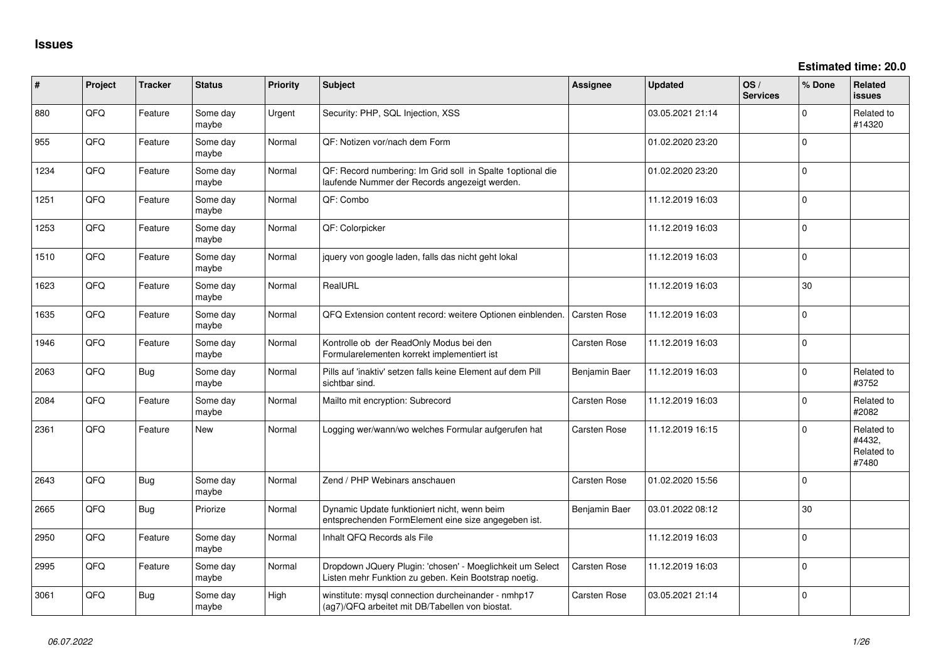**Estimated time: 20.0**

| #    | Project | <b>Tracker</b> | <b>Status</b>     | <b>Priority</b> | <b>Subject</b>                                                                                                     | <b>Assignee</b> | <b>Updated</b>   | OS/<br><b>Services</b> | % Done      | Related<br>issues                           |
|------|---------|----------------|-------------------|-----------------|--------------------------------------------------------------------------------------------------------------------|-----------------|------------------|------------------------|-------------|---------------------------------------------|
| 880  | QFQ     | Feature        | Some day<br>maybe | Urgent          | Security: PHP, SQL Injection, XSS                                                                                  |                 | 03.05.2021 21:14 |                        | $\Omega$    | Related to<br>#14320                        |
| 955  | QFQ     | Feature        | Some day<br>maybe | Normal          | QF: Notizen vor/nach dem Form                                                                                      |                 | 01.02.2020 23:20 |                        | $\mathbf 0$ |                                             |
| 1234 | QFQ     | Feature        | Some day<br>maybe | Normal          | QF: Record numbering: Im Grid soll in Spalte 1optional die<br>laufende Nummer der Records angezeigt werden.        |                 | 01.02.2020 23:20 |                        | $\mathbf 0$ |                                             |
| 1251 | QFQ     | Feature        | Some day<br>maybe | Normal          | QF: Combo                                                                                                          |                 | 11.12.2019 16:03 |                        | $\Omega$    |                                             |
| 1253 | QFQ     | Feature        | Some day<br>maybe | Normal          | QF: Colorpicker                                                                                                    |                 | 11.12.2019 16:03 |                        | $\Omega$    |                                             |
| 1510 | QFQ     | Feature        | Some day<br>maybe | Normal          | jquery von google laden, falls das nicht geht lokal                                                                |                 | 11.12.2019 16:03 |                        | $\mathbf 0$ |                                             |
| 1623 | QFQ     | Feature        | Some day<br>maybe | Normal          | RealURL                                                                                                            |                 | 11.12.2019 16:03 |                        | 30          |                                             |
| 1635 | QFQ     | Feature        | Some day<br>maybe | Normal          | QFQ Extension content record: weitere Optionen einblenden.                                                         | Carsten Rose    | 11.12.2019 16:03 |                        | $\Omega$    |                                             |
| 1946 | QFQ     | Feature        | Some day<br>maybe | Normal          | Kontrolle ob der ReadOnly Modus bei den<br>Formularelementen korrekt implementiert ist                             | Carsten Rose    | 11.12.2019 16:03 |                        | $\mathbf 0$ |                                             |
| 2063 | QFQ     | <b>Bug</b>     | Some day<br>maybe | Normal          | Pills auf 'inaktiv' setzen falls keine Element auf dem Pill<br>sichtbar sind.                                      | Benjamin Baer   | 11.12.2019 16:03 |                        | $\mathbf 0$ | Related to<br>#3752                         |
| 2084 | QFQ     | Feature        | Some day<br>maybe | Normal          | Mailto mit encryption: Subrecord                                                                                   | Carsten Rose    | 11.12.2019 16:03 |                        | $\mathbf 0$ | Related to<br>#2082                         |
| 2361 | QFQ     | Feature        | <b>New</b>        | Normal          | Logging wer/wann/wo welches Formular aufgerufen hat                                                                | Carsten Rose    | 11.12.2019 16:15 |                        | 0           | Related to<br>#4432,<br>Related to<br>#7480 |
| 2643 | QFQ     | <b>Bug</b>     | Some day<br>maybe | Normal          | Zend / PHP Webinars anschauen                                                                                      | Carsten Rose    | 01.02.2020 15:56 |                        | 0           |                                             |
| 2665 | QFQ     | <b>Bug</b>     | Priorize          | Normal          | Dynamic Update funktioniert nicht, wenn beim<br>entsprechenden FormElement eine size angegeben ist.                | Benjamin Baer   | 03.01.2022 08:12 |                        | 30          |                                             |
| 2950 | QFQ     | Feature        | Some day<br>maybe | Normal          | Inhalt QFQ Records als File                                                                                        |                 | 11.12.2019 16:03 |                        | $\mathbf 0$ |                                             |
| 2995 | QFQ     | Feature        | Some day<br>maybe | Normal          | Dropdown JQuery Plugin: 'chosen' - Moeglichkeit um Select<br>Listen mehr Funktion zu geben. Kein Bootstrap noetig. | Carsten Rose    | 11.12.2019 16:03 |                        | 0           |                                             |
| 3061 | QFQ     | <b>Bug</b>     | Some day<br>maybe | High            | winstitute: mysql connection durcheinander - nmhp17<br>(ag7)/QFQ arbeitet mit DB/Tabellen von biostat.             | Carsten Rose    | 03.05.2021 21:14 |                        | 0           |                                             |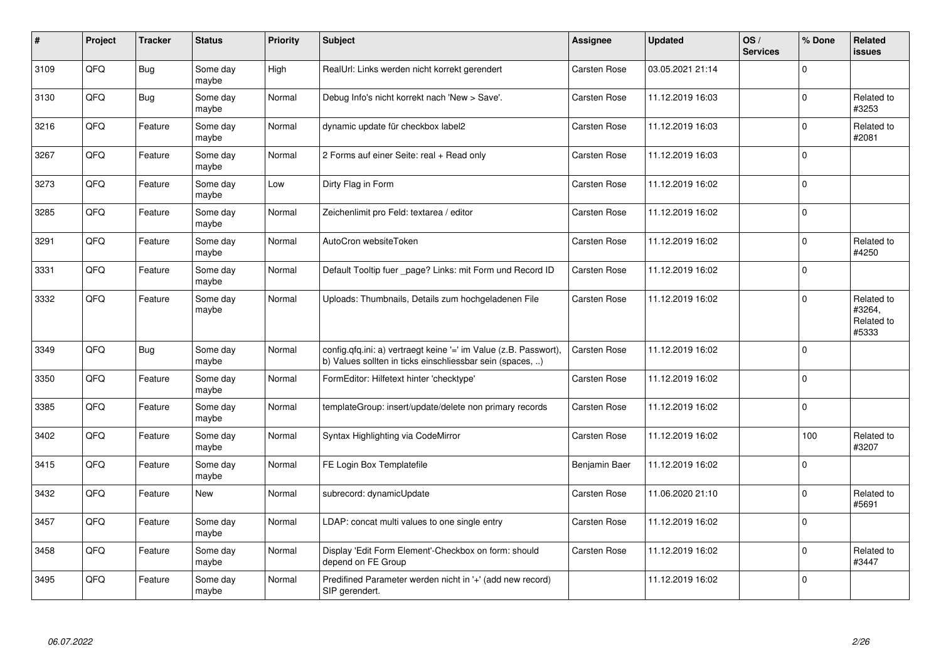| $\sharp$ | Project    | <b>Tracker</b> | <b>Status</b>     | <b>Priority</b> | <b>Subject</b>                                                                                                                | Assignee            | <b>Updated</b>   | OS/<br><b>Services</b> | % Done      | Related<br><b>issues</b>                    |
|----------|------------|----------------|-------------------|-----------------|-------------------------------------------------------------------------------------------------------------------------------|---------------------|------------------|------------------------|-------------|---------------------------------------------|
| 3109     | QFQ        | <b>Bug</b>     | Some day<br>maybe | High            | RealUrl: Links werden nicht korrekt gerendert                                                                                 | <b>Carsten Rose</b> | 03.05.2021 21:14 |                        | $\Omega$    |                                             |
| 3130     | QFQ        | <b>Bug</b>     | Some day<br>maybe | Normal          | Debug Info's nicht korrekt nach 'New > Save'.                                                                                 | Carsten Rose        | 11.12.2019 16:03 |                        | $\Omega$    | Related to<br>#3253                         |
| 3216     | QFQ        | Feature        | Some day<br>maybe | Normal          | dynamic update für checkbox label2                                                                                            | Carsten Rose        | 11.12.2019 16:03 |                        | $\Omega$    | Related to<br>#2081                         |
| 3267     | QFQ        | Feature        | Some day<br>maybe | Normal          | 2 Forms auf einer Seite: real + Read only                                                                                     | Carsten Rose        | 11.12.2019 16:03 |                        | $\Omega$    |                                             |
| 3273     | QFQ        | Feature        | Some day<br>maybe | Low             | Dirty Flag in Form                                                                                                            | Carsten Rose        | 11.12.2019 16:02 |                        | $\Omega$    |                                             |
| 3285     | QFQ        | Feature        | Some day<br>maybe | Normal          | Zeichenlimit pro Feld: textarea / editor                                                                                      | Carsten Rose        | 11.12.2019 16:02 |                        | $\mathbf 0$ |                                             |
| 3291     | QFQ        | Feature        | Some day<br>maybe | Normal          | AutoCron websiteToken                                                                                                         | Carsten Rose        | 11.12.2019 16:02 |                        | $\Omega$    | Related to<br>#4250                         |
| 3331     | QFQ        | Feature        | Some day<br>maybe | Normal          | Default Tooltip fuer page? Links: mit Form und Record ID                                                                      | <b>Carsten Rose</b> | 11.12.2019 16:02 |                        | $\Omega$    |                                             |
| 3332     | QFQ        | Feature        | Some day<br>maybe | Normal          | Uploads: Thumbnails, Details zum hochgeladenen File                                                                           | Carsten Rose        | 11.12.2019 16:02 |                        | $\Omega$    | Related to<br>#3264,<br>Related to<br>#5333 |
| 3349     | QFQ        | Bug            | Some day<br>maybe | Normal          | config.qfq.ini: a) vertraegt keine '=' im Value (z.B. Passwort),<br>b) Values sollten in ticks einschliessbar sein (spaces, ) | <b>Carsten Rose</b> | 11.12.2019 16:02 |                        | $\Omega$    |                                             |
| 3350     | <b>OFO</b> | Feature        | Some day<br>maybe | Normal          | FormEditor: Hilfetext hinter 'checktype'                                                                                      | Carsten Rose        | 11.12.2019 16:02 |                        | $\Omega$    |                                             |
| 3385     | QFQ        | Feature        | Some day<br>maybe | Normal          | templateGroup: insert/update/delete non primary records                                                                       | Carsten Rose        | 11.12.2019 16:02 |                        | $\mathbf 0$ |                                             |
| 3402     | QFQ        | Feature        | Some day<br>maybe | Normal          | Syntax Highlighting via CodeMirror                                                                                            | Carsten Rose        | 11.12.2019 16:02 |                        | 100         | Related to<br>#3207                         |
| 3415     | QFQ        | Feature        | Some day<br>maybe | Normal          | FE Login Box Templatefile                                                                                                     | Benjamin Baer       | 11.12.2019 16:02 |                        | $\Omega$    |                                             |
| 3432     | QFQ        | Feature        | <b>New</b>        | Normal          | subrecord: dynamicUpdate                                                                                                      | Carsten Rose        | 11.06.2020 21:10 |                        | $\Omega$    | Related to<br>#5691                         |
| 3457     | QFQ        | Feature        | Some day<br>maybe | Normal          | LDAP: concat multi values to one single entry                                                                                 | Carsten Rose        | 11.12.2019 16:02 |                        | $\Omega$    |                                             |
| 3458     | QFQ        | Feature        | Some day<br>maybe | Normal          | Display 'Edit Form Element'-Checkbox on form: should<br>depend on FE Group                                                    | Carsten Rose        | 11.12.2019 16:02 |                        | $\Omega$    | Related to<br>#3447                         |
| 3495     | QFQ        | Feature        | Some day<br>maybe | Normal          | Predifined Parameter werden nicht in '+' (add new record)<br>SIP gerendert.                                                   |                     | 11.12.2019 16:02 |                        | l 0         |                                             |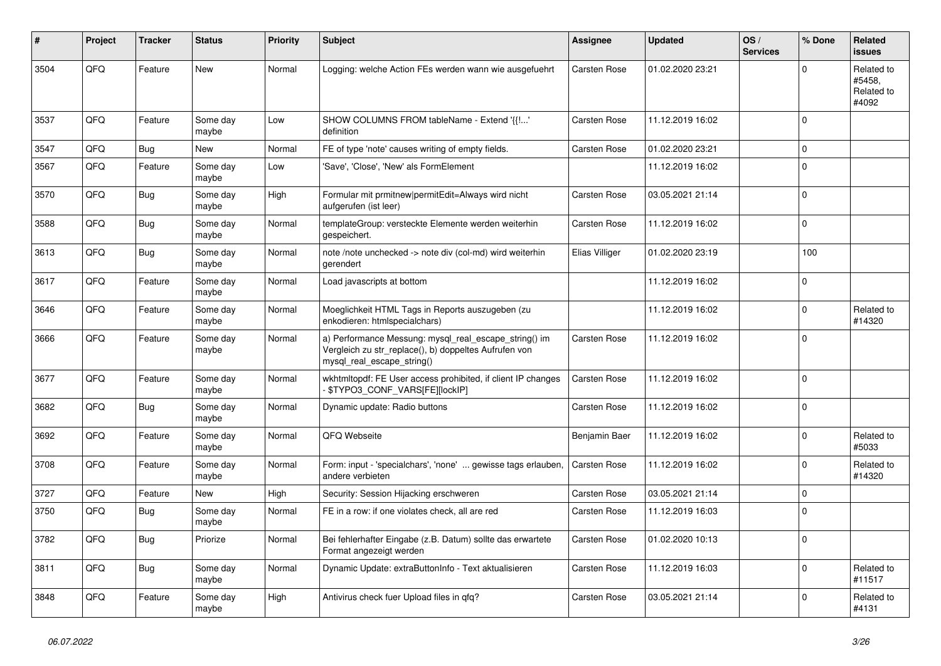| #    | Project | <b>Tracker</b> | <b>Status</b>     | <b>Priority</b> | <b>Subject</b>                                                                                                                               | Assignee            | <b>Updated</b>   | OS/<br><b>Services</b> | % Done      | Related<br><b>issues</b>                    |
|------|---------|----------------|-------------------|-----------------|----------------------------------------------------------------------------------------------------------------------------------------------|---------------------|------------------|------------------------|-------------|---------------------------------------------|
| 3504 | QFQ     | Feature        | <b>New</b>        | Normal          | Logging: welche Action FEs werden wann wie ausgefuehrt                                                                                       | Carsten Rose        | 01.02.2020 23:21 |                        | $\Omega$    | Related to<br>#5458.<br>Related to<br>#4092 |
| 3537 | QFQ     | Feature        | Some day<br>maybe | Low             | SHOW COLUMNS FROM tableName - Extend '{{!'<br>definition                                                                                     | <b>Carsten Rose</b> | 11.12.2019 16:02 |                        | $\Omega$    |                                             |
| 3547 | QFQ     | <b>Bug</b>     | New               | Normal          | FE of type 'note' causes writing of empty fields.                                                                                            | <b>Carsten Rose</b> | 01.02.2020 23:21 |                        | $\Omega$    |                                             |
| 3567 | QFQ     | Feature        | Some day<br>maybe | Low             | 'Save', 'Close', 'New' als FormElement                                                                                                       |                     | 11.12.2019 16:02 |                        | $\Omega$    |                                             |
| 3570 | QFQ     | <b>Bug</b>     | Some day<br>maybe | High            | Formular mit prmitnew   permitEdit=Always wird nicht<br>aufgerufen (ist leer)                                                                | <b>Carsten Rose</b> | 03.05.2021 21:14 |                        | $\Omega$    |                                             |
| 3588 | QFQ     | <b>Bug</b>     | Some day<br>maybe | Normal          | templateGroup: versteckte Elemente werden weiterhin<br>gespeichert.                                                                          | Carsten Rose        | 11.12.2019 16:02 |                        | $\Omega$    |                                             |
| 3613 | QFQ     | <b>Bug</b>     | Some day<br>maybe | Normal          | note /note unchecked -> note div (col-md) wird weiterhin<br>gerendert                                                                        | Elias Villiger      | 01.02.2020 23:19 |                        | 100         |                                             |
| 3617 | QFQ     | Feature        | Some day<br>maybe | Normal          | Load javascripts at bottom                                                                                                                   |                     | 11.12.2019 16:02 |                        | $\Omega$    |                                             |
| 3646 | QFQ     | Feature        | Some day<br>maybe | Normal          | Moeglichkeit HTML Tags in Reports auszugeben (zu<br>enkodieren: htmlspecialchars)                                                            |                     | 11.12.2019 16:02 |                        | $\Omega$    | Related to<br>#14320                        |
| 3666 | QFQ     | Feature        | Some day<br>maybe | Normal          | a) Performance Messung: mysql_real_escape_string() im<br>Vergleich zu str_replace(), b) doppeltes Aufrufen von<br>mysql_real_escape_string() | <b>Carsten Rose</b> | 11.12.2019 16:02 |                        | $\mathbf 0$ |                                             |
| 3677 | QFQ     | Feature        | Some day<br>maybe | Normal          | wkhtmitopdf: FE User access prohibited, if client IP changes<br>- \$TYPO3_CONF_VARS[FE][lockIP]                                              | Carsten Rose        | 11.12.2019 16:02 |                        | $\Omega$    |                                             |
| 3682 | QFQ     | <b>Bug</b>     | Some day<br>maybe | Normal          | Dynamic update: Radio buttons                                                                                                                | Carsten Rose        | 11.12.2019 16:02 |                        | $\Omega$    |                                             |
| 3692 | QFQ     | Feature        | Some day<br>maybe | Normal          | QFQ Webseite                                                                                                                                 | Benjamin Baer       | 11.12.2019 16:02 |                        | $\Omega$    | Related to<br>#5033                         |
| 3708 | QFQ     | Feature        | Some day<br>maybe | Normal          | Form: input - 'specialchars', 'none'  gewisse tags erlauben,<br>andere verbieten                                                             | Carsten Rose        | 11.12.2019 16:02 |                        | $\Omega$    | Related to<br>#14320                        |
| 3727 | QFQ     | Feature        | New               | High            | Security: Session Hijacking erschweren                                                                                                       | <b>Carsten Rose</b> | 03.05.2021 21:14 |                        | $\Omega$    |                                             |
| 3750 | QFQ     | <b>Bug</b>     | Some day<br>maybe | Normal          | FE in a row: if one violates check, all are red                                                                                              | Carsten Rose        | 11.12.2019 16:03 |                        | $\Omega$    |                                             |
| 3782 | QFQ     | Bug            | Priorize          | Normal          | Bei fehlerhafter Eingabe (z.B. Datum) sollte das erwartete<br>Format angezeigt werden                                                        | Carsten Rose        | 01.02.2020 10:13 |                        | $\Omega$    |                                             |
| 3811 | QFQ     | <b>Bug</b>     | Some day<br>maybe | Normal          | Dynamic Update: extraButtonInfo - Text aktualisieren                                                                                         | Carsten Rose        | 11.12.2019 16:03 |                        | $\Omega$    | Related to<br>#11517                        |
| 3848 | QFQ     | Feature        | Some day<br>maybe | High            | Antivirus check fuer Upload files in qfq?                                                                                                    | Carsten Rose        | 03.05.2021 21:14 |                        | $\Omega$    | Related to<br>#4131                         |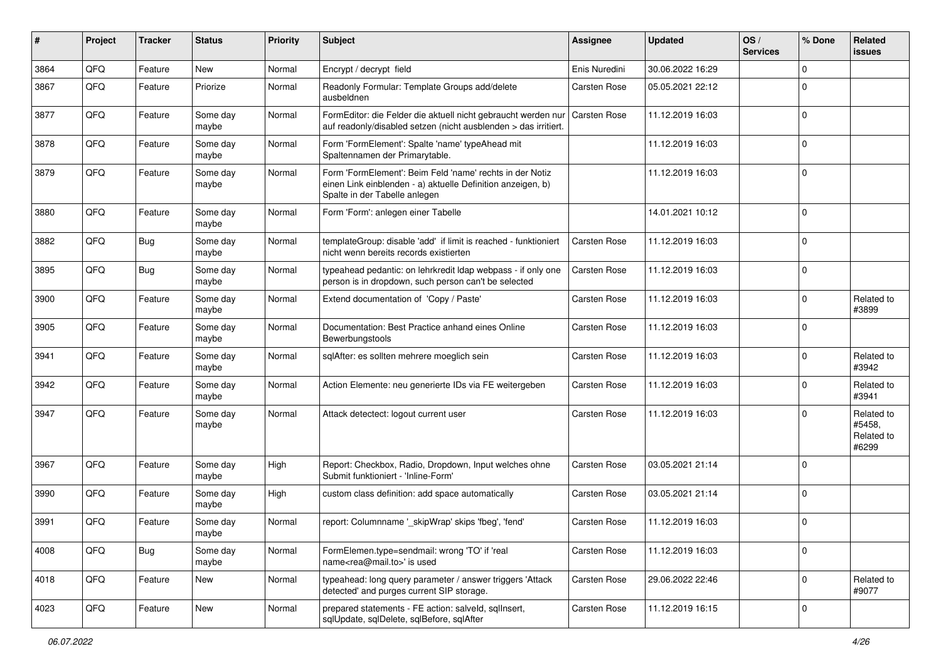| #    | Project | <b>Tracker</b> | <b>Status</b>     | <b>Priority</b> | <b>Subject</b>                                                                                                                                           | <b>Assignee</b>     | <b>Updated</b>   | OS/<br><b>Services</b> | % Done      | Related<br><b>issues</b>                    |
|------|---------|----------------|-------------------|-----------------|----------------------------------------------------------------------------------------------------------------------------------------------------------|---------------------|------------------|------------------------|-------------|---------------------------------------------|
| 3864 | QFQ     | Feature        | <b>New</b>        | Normal          | Encrypt / decrypt field                                                                                                                                  | Enis Nuredini       | 30.06.2022 16:29 |                        | 0           |                                             |
| 3867 | QFQ     | Feature        | Priorize          | Normal          | Readonly Formular: Template Groups add/delete<br>ausbeldnen                                                                                              | Carsten Rose        | 05.05.2021 22:12 |                        | 0           |                                             |
| 3877 | QFQ     | Feature        | Some day<br>maybe | Normal          | FormEditor: die Felder die aktuell nicht gebraucht werden nur<br>auf readonly/disabled setzen (nicht ausblenden > das irritiert.                         | <b>Carsten Rose</b> | 11.12.2019 16:03 |                        | $\Omega$    |                                             |
| 3878 | QFQ     | Feature        | Some day<br>maybe | Normal          | Form 'FormElement': Spalte 'name' typeAhead mit<br>Spaltennamen der Primarytable.                                                                        |                     | 11.12.2019 16:03 |                        | $\Omega$    |                                             |
| 3879 | QFQ     | Feature        | Some day<br>maybe | Normal          | Form 'FormElement': Beim Feld 'name' rechts in der Notiz<br>einen Link einblenden - a) aktuelle Definition anzeigen, b)<br>Spalte in der Tabelle anlegen |                     | 11.12.2019 16:03 |                        | $\Omega$    |                                             |
| 3880 | QFQ     | Feature        | Some day<br>maybe | Normal          | Form 'Form': anlegen einer Tabelle                                                                                                                       |                     | 14.01.2021 10:12 |                        | $\Omega$    |                                             |
| 3882 | QFQ     | Bug            | Some day<br>maybe | Normal          | templateGroup: disable 'add' if limit is reached - funktioniert<br>nicht wenn bereits records existierten                                                | <b>Carsten Rose</b> | 11.12.2019 16:03 |                        | $\Omega$    |                                             |
| 3895 | QFQ     | <b>Bug</b>     | Some day<br>maybe | Normal          | typeahead pedantic: on lehrkredit Idap webpass - if only one<br>person is in dropdown, such person can't be selected                                     | <b>Carsten Rose</b> | 11.12.2019 16:03 |                        | $\Omega$    |                                             |
| 3900 | QFQ     | Feature        | Some day<br>maybe | Normal          | Extend documentation of 'Copy / Paste'                                                                                                                   | <b>Carsten Rose</b> | 11.12.2019 16:03 |                        | $\Omega$    | Related to<br>#3899                         |
| 3905 | QFQ     | Feature        | Some day<br>maybe | Normal          | Documentation: Best Practice anhand eines Online<br>Bewerbungstools                                                                                      | Carsten Rose        | 11.12.2019 16:03 |                        | 0           |                                             |
| 3941 | QFQ     | Feature        | Some day<br>maybe | Normal          | sqlAfter: es sollten mehrere moeglich sein                                                                                                               | <b>Carsten Rose</b> | 11.12.2019 16:03 |                        | $\Omega$    | Related to<br>#3942                         |
| 3942 | QFQ     | Feature        | Some day<br>maybe | Normal          | Action Elemente: neu generierte IDs via FE weitergeben                                                                                                   | Carsten Rose        | 11.12.2019 16:03 |                        | 0           | Related to<br>#3941                         |
| 3947 | QFQ     | Feature        | Some day<br>maybe | Normal          | Attack detectect: logout current user                                                                                                                    | <b>Carsten Rose</b> | 11.12.2019 16:03 |                        | $\Omega$    | Related to<br>#5458,<br>Related to<br>#6299 |
| 3967 | QFQ     | Feature        | Some day<br>maybe | High            | Report: Checkbox, Radio, Dropdown, Input welches ohne<br>Submit funktioniert - 'Inline-Form'                                                             | Carsten Rose        | 03.05.2021 21:14 |                        | $\Omega$    |                                             |
| 3990 | QFQ     | Feature        | Some day<br>maybe | High            | custom class definition: add space automatically                                                                                                         | Carsten Rose        | 03.05.2021 21:14 |                        | $\Omega$    |                                             |
| 3991 | QFQ     | Feature        | Some day<br>maybe | Normal          | report: Columnname '_skipWrap' skips 'fbeg', 'fend'                                                                                                      | <b>Carsten Rose</b> | 11.12.2019 16:03 |                        | $\Omega$    |                                             |
| 4008 | QFQ     | Bug            | Some day<br>maybe | Normal          | FormElemen.type=sendmail: wrong 'TO' if 'real<br>name <rea@mail.to>' is used</rea@mail.to>                                                               | <b>Carsten Rose</b> | 11.12.2019 16:03 |                        | $\mathbf 0$ |                                             |
| 4018 | QFQ     | Feature        | New               | Normal          | typeahead: long query parameter / answer triggers 'Attack<br>detected' and purges current SIP storage.                                                   | Carsten Rose        | 29.06.2022 22:46 |                        | 0           | Related to<br>#9077                         |
| 4023 | QFQ     | Feature        | New               | Normal          | prepared statements - FE action: salveld, sqllnsert,<br>sqlUpdate, sqlDelete, sqlBefore, sqlAfter                                                        | Carsten Rose        | 11.12.2019 16:15 |                        | $\mathbf 0$ |                                             |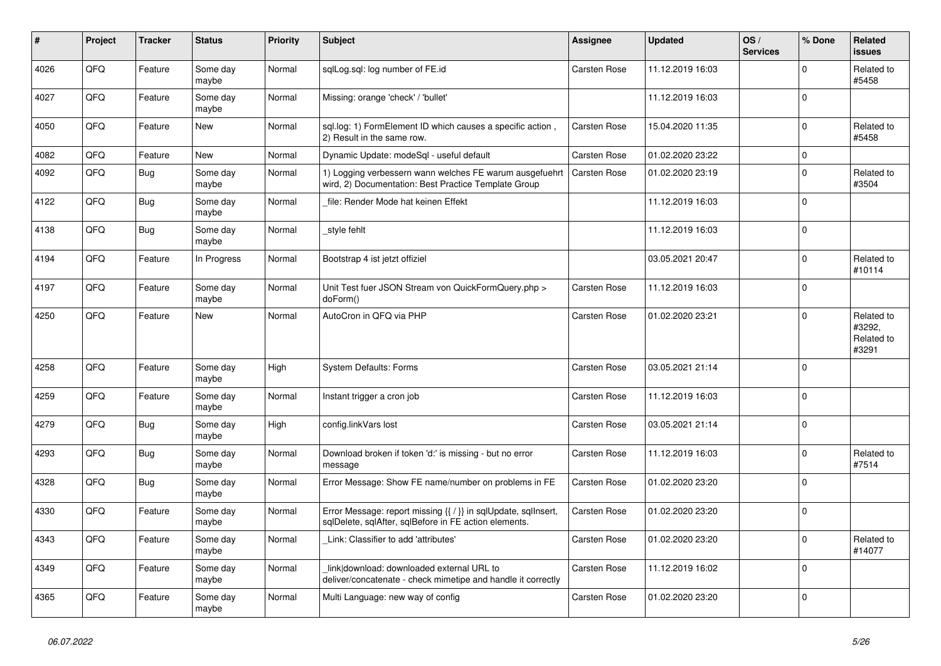| #    | Project | <b>Tracker</b> | <b>Status</b>     | <b>Priority</b> | <b>Subject</b>                                                                                                          | <b>Assignee</b>     | Updated          | OS/<br><b>Services</b> | % Done       | Related<br><b>issues</b>                    |
|------|---------|----------------|-------------------|-----------------|-------------------------------------------------------------------------------------------------------------------------|---------------------|------------------|------------------------|--------------|---------------------------------------------|
| 4026 | QFQ     | Feature        | Some day<br>maybe | Normal          | sqlLog.sql: log number of FE.id                                                                                         | <b>Carsten Rose</b> | 11.12.2019 16:03 |                        | $\Omega$     | Related to<br>#5458                         |
| 4027 | QFQ     | Feature        | Some day<br>maybe | Normal          | Missing: orange 'check' / 'bullet'                                                                                      |                     | 11.12.2019 16:03 |                        | $\Omega$     |                                             |
| 4050 | QFQ     | Feature        | New               | Normal          | sql.log: 1) FormElement ID which causes a specific action,<br>2) Result in the same row.                                | Carsten Rose        | 15.04.2020 11:35 |                        | <sup>0</sup> | Related to<br>#5458                         |
| 4082 | QFQ     | Feature        | <b>New</b>        | Normal          | Dynamic Update: modeSql - useful default                                                                                | <b>Carsten Rose</b> | 01.02.2020 23:22 |                        | $\Omega$     |                                             |
| 4092 | QFQ     | <b>Bug</b>     | Some day<br>maybe | Normal          | 1) Logging verbessern wann welches FE warum ausgefuehrt<br>wird, 2) Documentation: Best Practice Template Group         | <b>Carsten Rose</b> | 01.02.2020 23:19 |                        | $\Omega$     | Related to<br>#3504                         |
| 4122 | QFQ     | Bug            | Some day<br>maybe | Normal          | file: Render Mode hat keinen Effekt                                                                                     |                     | 11.12.2019 16:03 |                        | $\Omega$     |                                             |
| 4138 | QFQ     | <b>Bug</b>     | Some day<br>maybe | Normal          | style fehlt                                                                                                             |                     | 11.12.2019 16:03 |                        | $\Omega$     |                                             |
| 4194 | QFQ     | Feature        | In Progress       | Normal          | Bootstrap 4 ist jetzt offiziel                                                                                          |                     | 03.05.2021 20:47 |                        | $\Omega$     | Related to<br>#10114                        |
| 4197 | QFQ     | Feature        | Some day<br>maybe | Normal          | Unit Test fuer JSON Stream von QuickFormQuery.php ><br>doForm()                                                         | <b>Carsten Rose</b> | 11.12.2019 16:03 |                        | $\Omega$     |                                             |
| 4250 | QFQ     | Feature        | <b>New</b>        | Normal          | AutoCron in QFQ via PHP                                                                                                 | <b>Carsten Rose</b> | 01.02.2020 23:21 |                        | $\Omega$     | Related to<br>#3292,<br>Related to<br>#3291 |
| 4258 | QFQ     | Feature        | Some day<br>maybe | High            | <b>System Defaults: Forms</b>                                                                                           | Carsten Rose        | 03.05.2021 21:14 |                        | $\Omega$     |                                             |
| 4259 | QFQ     | Feature        | Some day<br>maybe | Normal          | Instant trigger a cron job                                                                                              | <b>Carsten Rose</b> | 11.12.2019 16:03 |                        | $\Omega$     |                                             |
| 4279 | QFQ     | <b>Bug</b>     | Some day<br>maybe | High            | config.linkVars lost                                                                                                    | <b>Carsten Rose</b> | 03.05.2021 21:14 |                        | $\Omega$     |                                             |
| 4293 | QFQ     | <b>Bug</b>     | Some day<br>maybe | Normal          | Download broken if token 'd:' is missing - but no error<br>message                                                      | Carsten Rose        | 11.12.2019 16:03 |                        | $\Omega$     | Related to<br>#7514                         |
| 4328 | QFQ     | Bug            | Some day<br>maybe | Normal          | Error Message: Show FE name/number on problems in FE                                                                    | <b>Carsten Rose</b> | 01.02.2020 23:20 |                        | $\mathbf 0$  |                                             |
| 4330 | QFQ     | Feature        | Some day<br>maybe | Normal          | Error Message: report missing {{ / }} in sqlUpdate, sqlInsert,<br>sglDelete, sglAfter, sglBefore in FE action elements. | <b>Carsten Rose</b> | 01.02.2020 23:20 |                        | $\Omega$     |                                             |
| 4343 | QFQ     | Feature        | Some day<br>maybe | Normal          | Link: Classifier to add 'attributes'                                                                                    | Carsten Rose        | 01.02.2020 23:20 |                        | $\Omega$     | Related to<br>#14077                        |
| 4349 | QFQ     | Feature        | Some day<br>maybe | Normal          | link download: downloaded external URL to<br>deliver/concatenate - check mimetipe and handle it correctly               | Carsten Rose        | 11.12.2019 16:02 |                        | $\Omega$     |                                             |
| 4365 | QFQ     | Feature        | Some day<br>maybe | Normal          | Multi Language: new way of config                                                                                       | <b>Carsten Rose</b> | 01.02.2020 23:20 |                        | $\Omega$     |                                             |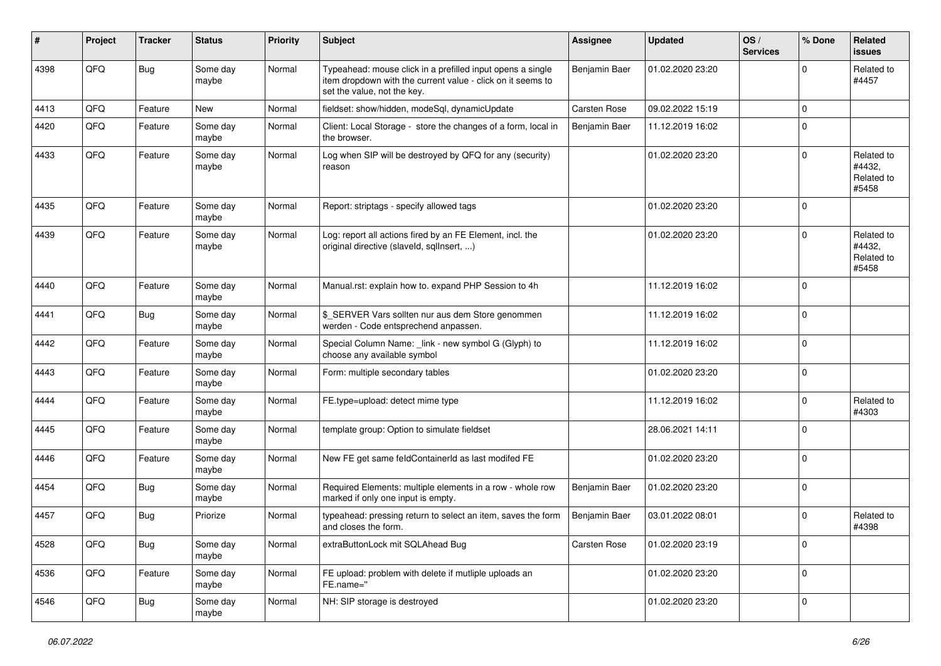| ∦    | Project | <b>Tracker</b> | <b>Status</b>     | <b>Priority</b> | Subject                                                                                                                                                  | <b>Assignee</b>      | <b>Updated</b>   | OS/<br><b>Services</b> | % Done      | Related<br>issues                           |
|------|---------|----------------|-------------------|-----------------|----------------------------------------------------------------------------------------------------------------------------------------------------------|----------------------|------------------|------------------------|-------------|---------------------------------------------|
| 4398 | QFQ     | Bug            | Some day<br>maybe | Normal          | Typeahead: mouse click in a prefilled input opens a single<br>item dropdown with the current value - click on it seems to<br>set the value, not the key. | <b>Benjamin Baer</b> | 01.02.2020 23:20 |                        | 0           | Related to<br>#4457                         |
| 4413 | QFQ     | Feature        | New               | Normal          | fieldset: show/hidden, modeSql, dynamicUpdate                                                                                                            | <b>Carsten Rose</b>  | 09.02.2022 15:19 |                        | $\mathbf 0$ |                                             |
| 4420 | QFQ     | Feature        | Some day<br>maybe | Normal          | Client: Local Storage - store the changes of a form, local in<br>the browser.                                                                            | Benjamin Baer        | 11.12.2019 16:02 |                        | 0           |                                             |
| 4433 | QFQ     | Feature        | Some day<br>maybe | Normal          | Log when SIP will be destroyed by QFQ for any (security)<br>reason                                                                                       |                      | 01.02.2020 23:20 |                        | $\Omega$    | Related to<br>#4432,<br>Related to<br>#5458 |
| 4435 | QFQ     | Feature        | Some day<br>maybe | Normal          | Report: striptags - specify allowed tags                                                                                                                 |                      | 01.02.2020 23:20 |                        | 0           |                                             |
| 4439 | QFQ     | Feature        | Some day<br>maybe | Normal          | Log: report all actions fired by an FE Element, incl. the<br>original directive (slaveld, sqlInsert, )                                                   |                      | 01.02.2020 23:20 |                        | $\Omega$    | Related to<br>#4432,<br>Related to<br>#5458 |
| 4440 | QFQ     | Feature        | Some day<br>maybe | Normal          | Manual.rst: explain how to. expand PHP Session to 4h                                                                                                     |                      | 11.12.2019 16:02 |                        | $\Omega$    |                                             |
| 4441 | QFQ     | <b>Bug</b>     | Some day<br>maybe | Normal          | \$_SERVER Vars sollten nur aus dem Store genommen<br>werden - Code entsprechend anpassen.                                                                |                      | 11.12.2019 16:02 |                        | $\Omega$    |                                             |
| 4442 | QFQ     | Feature        | Some day<br>maybe | Normal          | Special Column Name: _link - new symbol G (Glyph) to<br>choose any available symbol                                                                      |                      | 11.12.2019 16:02 |                        | $\Omega$    |                                             |
| 4443 | QFQ     | Feature        | Some day<br>maybe | Normal          | Form: multiple secondary tables                                                                                                                          |                      | 01.02.2020 23:20 |                        | $\Omega$    |                                             |
| 4444 | QFQ     | Feature        | Some day<br>maybe | Normal          | FE.type=upload: detect mime type                                                                                                                         |                      | 11.12.2019 16:02 |                        | 0           | Related to<br>#4303                         |
| 4445 | QFQ     | Feature        | Some day<br>maybe | Normal          | template group: Option to simulate fieldset                                                                                                              |                      | 28.06.2021 14:11 |                        | $\Omega$    |                                             |
| 4446 | QFQ     | Feature        | Some day<br>maybe | Normal          | New FE get same feldContainerId as last modifed FE                                                                                                       |                      | 01.02.2020 23:20 |                        | 0           |                                             |
| 4454 | QFQ     | <b>Bug</b>     | Some day<br>maybe | Normal          | Required Elements: multiple elements in a row - whole row<br>marked if only one input is empty.                                                          | Benjamin Baer        | 01.02.2020 23:20 |                        | $\mathbf 0$ |                                             |
| 4457 | QFQ     | Bug            | Priorize          | Normal          | typeahead: pressing return to select an item, saves the form<br>and closes the form.                                                                     | Benjamin Baer        | 03.01.2022 08:01 |                        | 0           | Related to<br>#4398                         |
| 4528 | QFO     | <b>Bug</b>     | Some day<br>maybe | Normal          | extraButtonLock mit SQLAhead Bug                                                                                                                         | Carsten Rose         | 01.02.2020 23:19 |                        | $\mathbf 0$ |                                             |
| 4536 | QFQ     | Feature        | Some day<br>maybe | Normal          | FE upload: problem with delete if mutliple uploads an<br>FE.name="                                                                                       |                      | 01.02.2020 23:20 |                        | $\mathbf 0$ |                                             |
| 4546 | QFO     | <b>Bug</b>     | Some day<br>maybe | Normal          | NH: SIP storage is destroyed                                                                                                                             |                      | 01.02.2020 23:20 |                        | $\mathbf 0$ |                                             |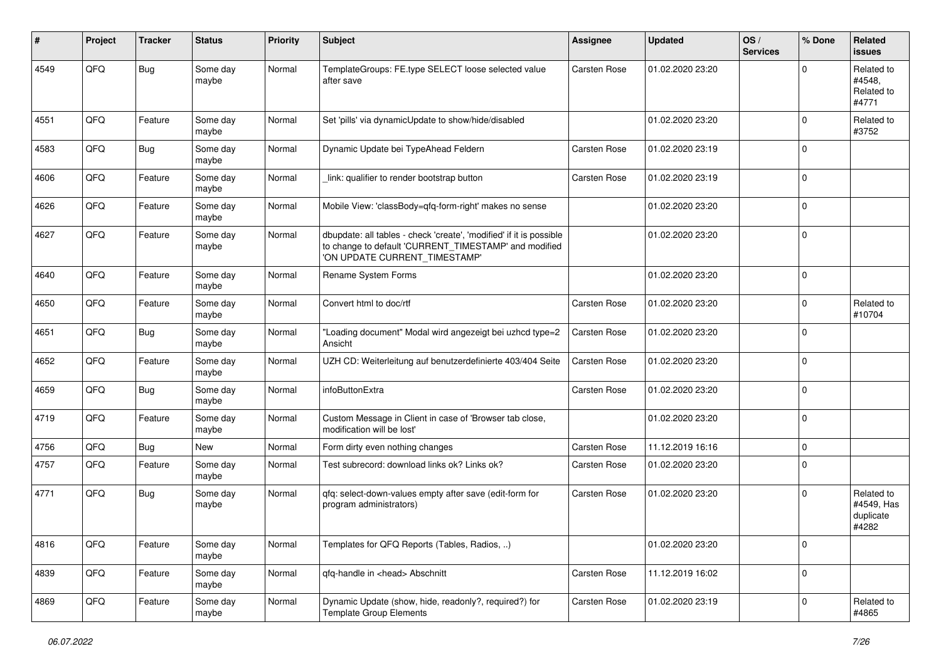| ∦    | Project | <b>Tracker</b> | <b>Status</b>     | <b>Priority</b> | <b>Subject</b>                                                                                                                                                | <b>Assignee</b>     | <b>Updated</b>   | OS/<br><b>Services</b> | % Done         | Related<br>issues                              |
|------|---------|----------------|-------------------|-----------------|---------------------------------------------------------------------------------------------------------------------------------------------------------------|---------------------|------------------|------------------------|----------------|------------------------------------------------|
| 4549 | QFQ     | <b>Bug</b>     | Some day<br>maybe | Normal          | TemplateGroups: FE.type SELECT loose selected value<br>after save                                                                                             | <b>Carsten Rose</b> | 01.02.2020 23:20 |                        | $\Omega$       | Related to<br>#4548.<br>Related to<br>#4771    |
| 4551 | QFQ     | Feature        | Some day<br>maybe | Normal          | Set 'pills' via dynamicUpdate to show/hide/disabled                                                                                                           |                     | 01.02.2020 23:20 |                        | $\Omega$       | Related to<br>#3752                            |
| 4583 | QFQ     | <b>Bug</b>     | Some day<br>maybe | Normal          | Dynamic Update bei TypeAhead Feldern                                                                                                                          | <b>Carsten Rose</b> | 01.02.2020 23:19 |                        | $\Omega$       |                                                |
| 4606 | QFQ     | Feature        | Some day<br>maybe | Normal          | link: qualifier to render bootstrap button                                                                                                                    | <b>Carsten Rose</b> | 01.02.2020 23:19 |                        | l 0            |                                                |
| 4626 | QFQ     | Feature        | Some day<br>maybe | Normal          | Mobile View: 'classBody=qfq-form-right' makes no sense                                                                                                        |                     | 01.02.2020 23:20 |                        | $\Omega$       |                                                |
| 4627 | QFQ     | Feature        | Some day<br>maybe | Normal          | dbupdate: all tables - check 'create', 'modified' if it is possible<br>to change to default 'CURRENT_TIMESTAMP' and modified<br>'ON UPDATE CURRENT_TIMESTAMP' |                     | 01.02.2020 23:20 |                        | 0              |                                                |
| 4640 | QFQ     | Feature        | Some day<br>maybe | Normal          | Rename System Forms                                                                                                                                           |                     | 01.02.2020 23:20 |                        | $\Omega$       |                                                |
| 4650 | QFQ     | Feature        | Some day<br>maybe | Normal          | Convert html to doc/rtf                                                                                                                                       | <b>Carsten Rose</b> | 01.02.2020 23:20 |                        | $\mathbf 0$    | Related to<br>#10704                           |
| 4651 | QFQ     | <b>Bug</b>     | Some day<br>maybe | Normal          | "Loading document" Modal wird angezeigt bei uzhcd type=2<br>Ansicht                                                                                           | <b>Carsten Rose</b> | 01.02.2020 23:20 |                        | $\Omega$       |                                                |
| 4652 | QFQ     | Feature        | Some day<br>maybe | Normal          | UZH CD: Weiterleitung auf benutzerdefinierte 403/404 Seite                                                                                                    | <b>Carsten Rose</b> | 01.02.2020 23:20 |                        | $\Omega$       |                                                |
| 4659 | QFQ     | <b>Bug</b>     | Some day<br>maybe | Normal          | infoButtonExtra                                                                                                                                               | <b>Carsten Rose</b> | 01.02.2020 23:20 |                        | $\mathbf 0$    |                                                |
| 4719 | QFQ     | Feature        | Some day<br>maybe | Normal          | Custom Message in Client in case of 'Browser tab close,<br>modification will be lost'                                                                         |                     | 01.02.2020 23:20 |                        | l 0            |                                                |
| 4756 | QFQ     | <b>Bug</b>     | New               | Normal          | Form dirty even nothing changes                                                                                                                               | <b>Carsten Rose</b> | 11.12.2019 16:16 |                        | $\mathbf 0$    |                                                |
| 4757 | QFQ     | Feature        | Some day<br>maybe | Normal          | Test subrecord: download links ok? Links ok?                                                                                                                  | Carsten Rose        | 01.02.2020 23:20 |                        | $\Omega$       |                                                |
| 4771 | QFQ     | <b>Bug</b>     | Some day<br>maybe | Normal          | qfq: select-down-values empty after save (edit-form for<br>program administrators)                                                                            | <b>Carsten Rose</b> | 01.02.2020 23:20 |                        | $\Omega$       | Related to<br>#4549, Has<br>duplicate<br>#4282 |
| 4816 | QFO     | Feature        | Some day<br>maybe | Normal          | Templates for QFQ Reports (Tables, Radios, )                                                                                                                  |                     | 01.02.2020 23:20 |                        | $\overline{0}$ |                                                |
| 4839 | QFO     | Feature        | Some day<br>maybe | Normal          | qfq-handle in <head> Abschnitt</head>                                                                                                                         | Carsten Rose        | 11.12.2019 16:02 |                        | $\overline{0}$ |                                                |
| 4869 | QFG     | Feature        | Some day<br>maybe | Normal          | Dynamic Update (show, hide, readonly?, required?) for<br>Template Group Elements                                                                              | Carsten Rose        | 01.02.2020 23:19 |                        | $\mathbf 0$    | Related to<br>#4865                            |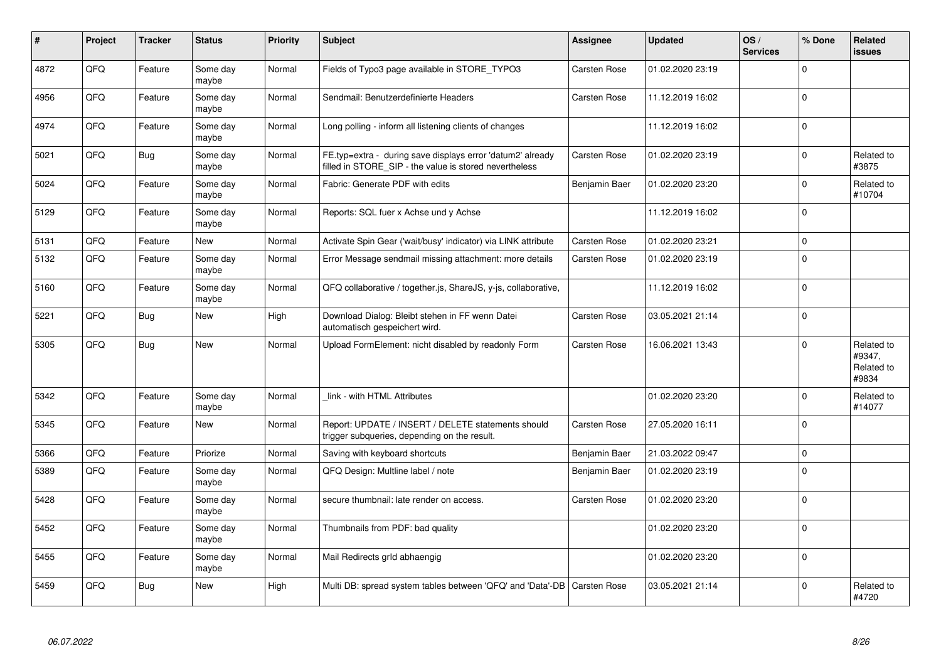| #    | Project | <b>Tracker</b> | <b>Status</b>     | <b>Priority</b> | <b>Subject</b>                                                                                                       | <b>Assignee</b>     | <b>Updated</b>   | OS/<br><b>Services</b> | % Done      | Related<br><b>issues</b>                    |
|------|---------|----------------|-------------------|-----------------|----------------------------------------------------------------------------------------------------------------------|---------------------|------------------|------------------------|-------------|---------------------------------------------|
| 4872 | QFQ     | Feature        | Some day<br>maybe | Normal          | Fields of Typo3 page available in STORE TYPO3                                                                        | <b>Carsten Rose</b> | 01.02.2020 23:19 |                        | $\Omega$    |                                             |
| 4956 | QFQ     | Feature        | Some day<br>maybe | Normal          | Sendmail: Benutzerdefinierte Headers                                                                                 | Carsten Rose        | 11.12.2019 16:02 |                        | $\Omega$    |                                             |
| 4974 | QFQ     | Feature        | Some day<br>maybe | Normal          | Long polling - inform all listening clients of changes                                                               |                     | 11.12.2019 16:02 |                        | $\mathbf 0$ |                                             |
| 5021 | QFQ     | <b>Bug</b>     | Some day<br>maybe | Normal          | FE.typ=extra - during save displays error 'datum2' already<br>filled in STORE SIP - the value is stored nevertheless | Carsten Rose        | 01.02.2020 23:19 |                        | $\Omega$    | Related to<br>#3875                         |
| 5024 | QFQ     | Feature        | Some day<br>maybe | Normal          | Fabric: Generate PDF with edits                                                                                      | Benjamin Baer       | 01.02.2020 23:20 |                        | $\Omega$    | Related to<br>#10704                        |
| 5129 | QFQ     | Feature        | Some day<br>maybe | Normal          | Reports: SQL fuer x Achse und y Achse                                                                                |                     | 11.12.2019 16:02 |                        | $\Omega$    |                                             |
| 5131 | QFQ     | Feature        | New               | Normal          | Activate Spin Gear ('wait/busy' indicator) via LINK attribute                                                        | Carsten Rose        | 01.02.2020 23:21 |                        | $\Omega$    |                                             |
| 5132 | QFQ     | Feature        | Some day<br>maybe | Normal          | Error Message sendmail missing attachment: more details                                                              | Carsten Rose        | 01.02.2020 23:19 |                        | $\Omega$    |                                             |
| 5160 | QFQ     | Feature        | Some day<br>maybe | Normal          | QFQ collaborative / together.js, ShareJS, y-js, collaborative,                                                       |                     | 11.12.2019 16:02 |                        | $\mathbf 0$ |                                             |
| 5221 | QFQ     | <b>Bug</b>     | <b>New</b>        | High            | Download Dialog: Bleibt stehen in FF wenn Datei<br>automatisch gespeichert wird.                                     | Carsten Rose        | 03.05.2021 21:14 |                        | $\Omega$    |                                             |
| 5305 | QFQ     | <b>Bug</b>     | <b>New</b>        | Normal          | Upload FormElement: nicht disabled by readonly Form                                                                  | Carsten Rose        | 16.06.2021 13:43 |                        | $\Omega$    | Related to<br>#9347,<br>Related to<br>#9834 |
| 5342 | QFQ     | Feature        | Some day<br>maybe | Normal          | link - with HTML Attributes                                                                                          |                     | 01.02.2020 23:20 |                        | $\Omega$    | Related to<br>#14077                        |
| 5345 | QFQ     | Feature        | <b>New</b>        | Normal          | Report: UPDATE / INSERT / DELETE statements should<br>trigger subqueries, depending on the result.                   | Carsten Rose        | 27.05.2020 16:11 |                        | $\Omega$    |                                             |
| 5366 | QFQ     | Feature        | Priorize          | Normal          | Saving with keyboard shortcuts                                                                                       | Benjamin Baer       | 21.03.2022 09:47 |                        | $\mathbf 0$ |                                             |
| 5389 | QFQ     | Feature        | Some dav<br>maybe | Normal          | QFQ Design: Multline label / note                                                                                    | Benjamin Baer       | 01.02.2020 23:19 |                        | $\Omega$    |                                             |
| 5428 | QFQ     | Feature        | Some day<br>maybe | Normal          | secure thumbnail: late render on access.                                                                             | Carsten Rose        | 01.02.2020 23:20 |                        | $\Omega$    |                                             |
| 5452 | QFQ     | Feature        | Some day<br>maybe | Normal          | Thumbnails from PDF: bad quality                                                                                     |                     | 01.02.2020 23:20 |                        | $\Omega$    |                                             |
| 5455 | QFQ     | Feature        | Some day<br>maybe | Normal          | Mail Redirects grld abhaengig                                                                                        |                     | 01.02.2020 23:20 |                        | $\Omega$    |                                             |
| 5459 | QFQ     | <b>Bug</b>     | New               | High            | Multi DB: spread system tables between 'QFQ' and 'Data'-DB                                                           | Carsten Rose        | 03.05.2021 21:14 |                        | $\Omega$    | Related to<br>#4720                         |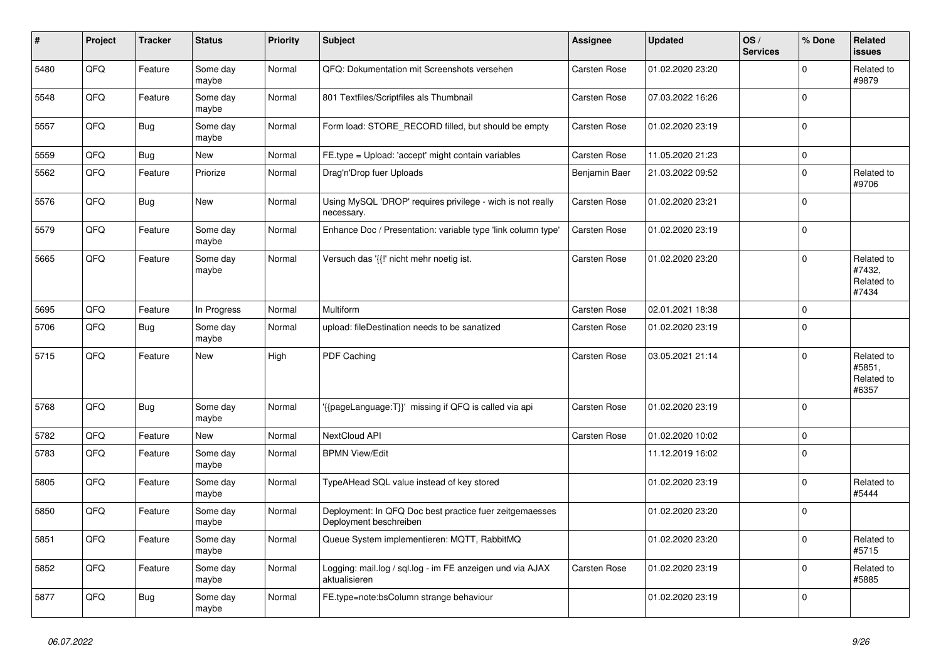| #    | Project | <b>Tracker</b> | <b>Status</b>     | <b>Priority</b> | <b>Subject</b>                                                                    | Assignee            | <b>Updated</b>   | OS/<br><b>Services</b> | % Done      | Related<br><b>issues</b>                    |
|------|---------|----------------|-------------------|-----------------|-----------------------------------------------------------------------------------|---------------------|------------------|------------------------|-------------|---------------------------------------------|
| 5480 | QFQ     | Feature        | Some day<br>maybe | Normal          | QFQ: Dokumentation mit Screenshots versehen                                       | Carsten Rose        | 01.02.2020 23:20 |                        | $\Omega$    | Related to<br>#9879                         |
| 5548 | QFQ     | Feature        | Some day<br>maybe | Normal          | 801 Textfiles/Scriptfiles als Thumbnail                                           | Carsten Rose        | 07.03.2022 16:26 |                        | $\Omega$    |                                             |
| 5557 | QFQ     | <b>Bug</b>     | Some day<br>maybe | Normal          | Form load: STORE_RECORD filled, but should be empty                               | Carsten Rose        | 01.02.2020 23:19 |                        | $\Omega$    |                                             |
| 5559 | QFQ     | <b>Bug</b>     | New               | Normal          | FE.type = Upload: 'accept' might contain variables                                | <b>Carsten Rose</b> | 11.05.2020 21:23 |                        | $\mathbf 0$ |                                             |
| 5562 | QFQ     | Feature        | Priorize          | Normal          | Drag'n'Drop fuer Uploads                                                          | Benjamin Baer       | 21.03.2022 09:52 |                        | $\Omega$    | Related to<br>#9706                         |
| 5576 | QFQ     | <b>Bug</b>     | New               | Normal          | Using MySQL 'DROP' requires privilege - wich is not really<br>necessary.          | Carsten Rose        | 01.02.2020 23:21 |                        | $\Omega$    |                                             |
| 5579 | QFQ     | Feature        | Some day<br>maybe | Normal          | Enhance Doc / Presentation: variable type 'link column type'                      | <b>Carsten Rose</b> | 01.02.2020 23:19 |                        | $\mathbf 0$ |                                             |
| 5665 | QFQ     | Feature        | Some day<br>maybe | Normal          | Versuch das '{{!' nicht mehr noetig ist.                                          | Carsten Rose        | 01.02.2020 23:20 |                        | $\Omega$    | Related to<br>#7432,<br>Related to<br>#7434 |
| 5695 | QFQ     | Feature        | In Progress       | Normal          | Multiform                                                                         | Carsten Rose        | 02.01.2021 18:38 |                        | $\mathbf 0$ |                                             |
| 5706 | QFQ     | <b>Bug</b>     | Some day<br>maybe | Normal          | upload: fileDestination needs to be sanatized                                     | Carsten Rose        | 01.02.2020 23:19 |                        | $\Omega$    |                                             |
| 5715 | QFQ     | Feature        | <b>New</b>        | High            | PDF Caching                                                                       | Carsten Rose        | 03.05.2021 21:14 |                        | $\Omega$    | Related to<br>#5851,<br>Related to<br>#6357 |
| 5768 | QFQ     | <b>Bug</b>     | Some day<br>maybe | Normal          | {{pageLanguage:T}}' missing if QFQ is called via api                              | Carsten Rose        | 01.02.2020 23:19 |                        | $\Omega$    |                                             |
| 5782 | QFQ     | Feature        | <b>New</b>        | Normal          | NextCloud API                                                                     | <b>Carsten Rose</b> | 01.02.2020 10:02 |                        | $\mathbf 0$ |                                             |
| 5783 | QFQ     | Feature        | Some day<br>maybe | Normal          | <b>BPMN View/Edit</b>                                                             |                     | 11.12.2019 16:02 |                        | $\mathbf 0$ |                                             |
| 5805 | QFQ     | Feature        | Some day<br>maybe | Normal          | TypeAHead SQL value instead of key stored                                         |                     | 01.02.2020 23:19 |                        | $\mathbf 0$ | Related to<br>#5444                         |
| 5850 | QFQ     | Feature        | Some day<br>maybe | Normal          | Deployment: In QFQ Doc best practice fuer zeitgemaesses<br>Deployment beschreiben |                     | 01.02.2020 23:20 |                        | $\Omega$    |                                             |
| 5851 | QFQ     | Feature        | Some day<br>maybe | Normal          | Queue System implementieren: MQTT, RabbitMQ                                       |                     | 01.02.2020 23:20 |                        | $\Omega$    | Related to<br>#5715                         |
| 5852 | QFQ     | Feature        | Some day<br>maybe | Normal          | Logging: mail.log / sql.log - im FE anzeigen und via AJAX<br>aktualisieren        | Carsten Rose        | 01.02.2020 23:19 |                        | $\Omega$    | Related to<br>#5885                         |
| 5877 | QFQ     | <b>Bug</b>     | Some day<br>maybe | Normal          | FE.type=note:bsColumn strange behaviour                                           |                     | 01.02.2020 23:19 |                        | $\Omega$    |                                             |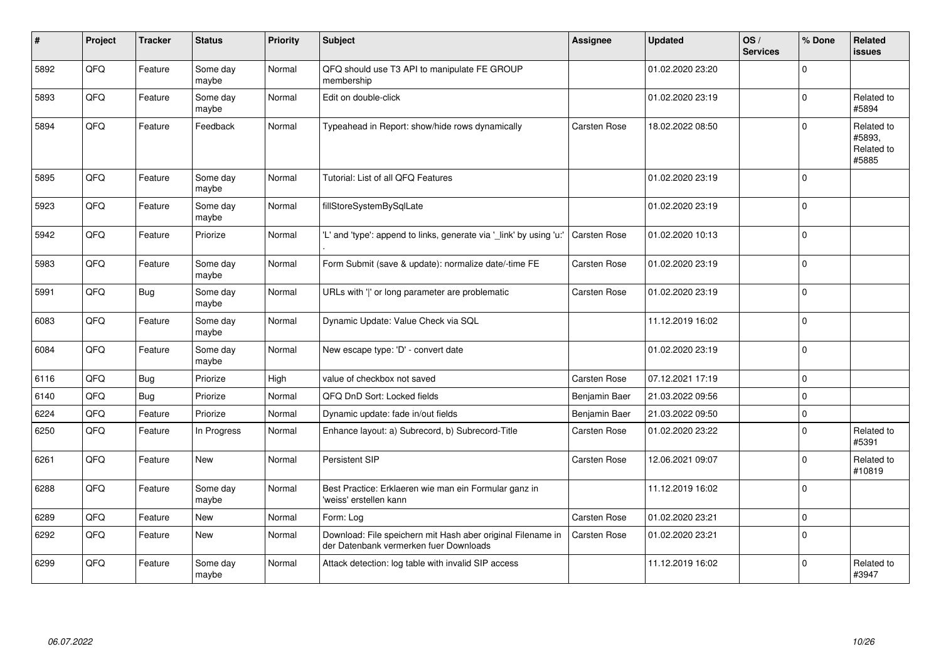| #    | Project | <b>Tracker</b> | <b>Status</b>     | <b>Priority</b> | <b>Subject</b>                                                                                        | Assignee            | <b>Updated</b>   | OS/<br><b>Services</b> | % Done         | Related<br>issues                           |
|------|---------|----------------|-------------------|-----------------|-------------------------------------------------------------------------------------------------------|---------------------|------------------|------------------------|----------------|---------------------------------------------|
| 5892 | QFQ     | Feature        | Some day<br>maybe | Normal          | QFQ should use T3 API to manipulate FE GROUP<br>membership                                            |                     | 01.02.2020 23:20 |                        | $\Omega$       |                                             |
| 5893 | QFQ     | Feature        | Some day<br>maybe | Normal          | Edit on double-click                                                                                  |                     | 01.02.2020 23:19 |                        | $\Omega$       | Related to<br>#5894                         |
| 5894 | QFQ     | Feature        | Feedback          | Normal          | Typeahead in Report: show/hide rows dynamically                                                       | Carsten Rose        | 18.02.2022 08:50 |                        | $\Omega$       | Related to<br>#5893,<br>Related to<br>#5885 |
| 5895 | QFQ     | Feature        | Some day<br>maybe | Normal          | Tutorial: List of all QFQ Features                                                                    |                     | 01.02.2020 23:19 |                        | $\Omega$       |                                             |
| 5923 | QFQ     | Feature        | Some day<br>maybe | Normal          | fillStoreSystemBySqlLate                                                                              |                     | 01.02.2020 23:19 |                        | $\Omega$       |                                             |
| 5942 | QFQ     | Feature        | Priorize          | Normal          | 'L' and 'type': append to links, generate via '_link' by using 'u:'                                   | Carsten Rose        | 01.02.2020 10:13 |                        | $\Omega$       |                                             |
| 5983 | QFQ     | Feature        | Some day<br>maybe | Normal          | Form Submit (save & update): normalize date/-time FE                                                  | <b>Carsten Rose</b> | 01.02.2020 23:19 |                        | $\Omega$       |                                             |
| 5991 | QFQ     | Bug            | Some day<br>maybe | Normal          | URLs with 'I' or long parameter are problematic                                                       | <b>Carsten Rose</b> | 01.02.2020 23:19 |                        | $\Omega$       |                                             |
| 6083 | QFQ     | Feature        | Some day<br>maybe | Normal          | Dynamic Update: Value Check via SQL                                                                   |                     | 11.12.2019 16:02 |                        | $\Omega$       |                                             |
| 6084 | QFQ     | Feature        | Some day<br>maybe | Normal          | New escape type: 'D' - convert date                                                                   |                     | 01.02.2020 23:19 |                        | $\Omega$       |                                             |
| 6116 | QFQ     | <b>Bug</b>     | Priorize          | High            | value of checkbox not saved                                                                           | Carsten Rose        | 07.12.2021 17:19 |                        | $\overline{0}$ |                                             |
| 6140 | QFQ     | <b>Bug</b>     | Priorize          | Normal          | QFQ DnD Sort: Locked fields                                                                           | Benjamin Baer       | 21.03.2022 09:56 |                        | $\Omega$       |                                             |
| 6224 | QFQ     | Feature        | Priorize          | Normal          | Dynamic update: fade in/out fields                                                                    | Benjamin Baer       | 21.03.2022 09:50 |                        | $\Omega$       |                                             |
| 6250 | QFQ     | Feature        | In Progress       | Normal          | Enhance layout: a) Subrecord, b) Subrecord-Title                                                      | Carsten Rose        | 01.02.2020 23:22 |                        | $\Omega$       | Related to<br>#5391                         |
| 6261 | QFQ     | Feature        | <b>New</b>        | Normal          | Persistent SIP                                                                                        | Carsten Rose        | 12.06.2021 09:07 |                        | $\Omega$       | Related to<br>#10819                        |
| 6288 | QFQ     | Feature        | Some day<br>maybe | Normal          | Best Practice: Erklaeren wie man ein Formular ganz in<br>'weiss' erstellen kann                       |                     | 11.12.2019 16:02 |                        | 0              |                                             |
| 6289 | QFQ     | Feature        | <b>New</b>        | Normal          | Form: Log                                                                                             | Carsten Rose        | 01.02.2020 23:21 |                        | $\Omega$       |                                             |
| 6292 | QFQ     | Feature        | New               | Normal          | Download: File speichern mit Hash aber original Filename in<br>der Datenbank vermerken fuer Downloads | Carsten Rose        | 01.02.2020 23:21 |                        | $\Omega$       |                                             |
| 6299 | QFQ     | Feature        | Some day<br>maybe | Normal          | Attack detection: log table with invalid SIP access                                                   |                     | 11.12.2019 16:02 |                        | l O            | Related to<br>#3947                         |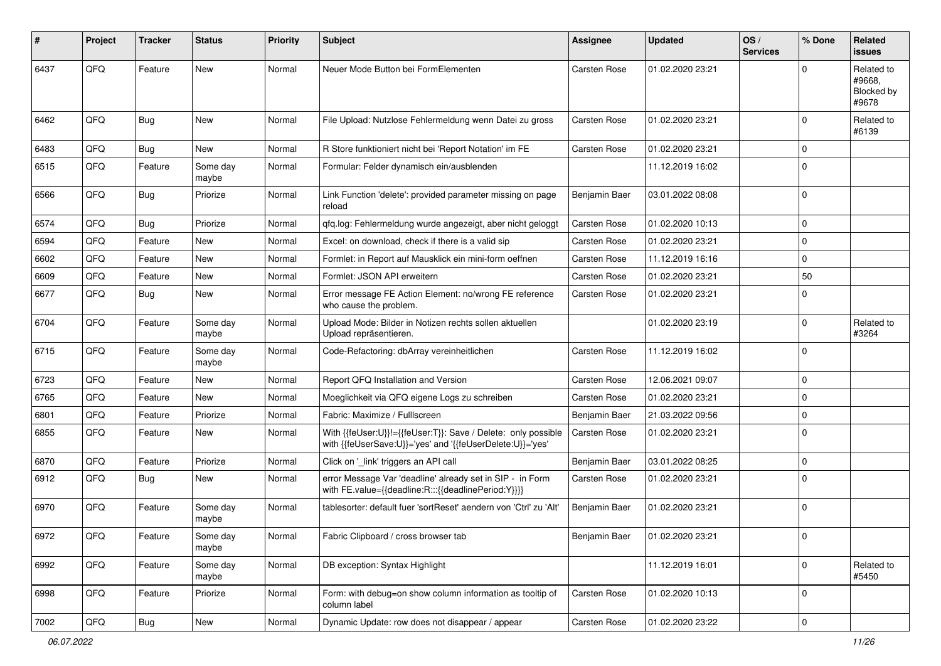| #    | Project        | <b>Tracker</b> | <b>Status</b>     | <b>Priority</b> | <b>Subject</b>                                                                                                             | <b>Assignee</b>     | <b>Updated</b>   | OS/<br><b>Services</b> | % Done       | <b>Related</b><br><b>issues</b>             |
|------|----------------|----------------|-------------------|-----------------|----------------------------------------------------------------------------------------------------------------------------|---------------------|------------------|------------------------|--------------|---------------------------------------------|
| 6437 | QFQ            | Feature        | <b>New</b>        | Normal          | Neuer Mode Button bei FormElementen                                                                                        | <b>Carsten Rose</b> | 01.02.2020 23:21 |                        | <sup>0</sup> | Related to<br>#9668.<br>Blocked by<br>#9678 |
| 6462 | QFQ            | <b>Bug</b>     | New               | Normal          | File Upload: Nutzlose Fehlermeldung wenn Datei zu gross                                                                    | <b>Carsten Rose</b> | 01.02.2020 23:21 |                        | 0            | Related to<br>#6139                         |
| 6483 | QFQ            | Bug            | New               | Normal          | R Store funktioniert nicht bei 'Report Notation' im FE                                                                     | <b>Carsten Rose</b> | 01.02.2020 23:21 |                        | $\mathbf 0$  |                                             |
| 6515 | QFQ            | Feature        | Some day<br>maybe | Normal          | Formular: Felder dynamisch ein/ausblenden                                                                                  |                     | 11.12.2019 16:02 |                        | $\Omega$     |                                             |
| 6566 | QFQ            | <b>Bug</b>     | Priorize          | Normal          | Link Function 'delete': provided parameter missing on page<br>reload                                                       | Benjamin Baer       | 03.01.2022 08:08 |                        | $\Omega$     |                                             |
| 6574 | QFQ            | <b>Bug</b>     | Priorize          | Normal          | qfq.log: Fehlermeldung wurde angezeigt, aber nicht geloggt                                                                 | <b>Carsten Rose</b> | 01.02.2020 10:13 |                        | $\mathbf 0$  |                                             |
| 6594 | QFQ            | Feature        | New               | Normal          | Excel: on download, check if there is a valid sip                                                                          | <b>Carsten Rose</b> | 01.02.2020 23:21 |                        | 0            |                                             |
| 6602 | QFQ            | Feature        | <b>New</b>        | Normal          | Formlet: in Report auf Mausklick ein mini-form oeffnen                                                                     | <b>Carsten Rose</b> | 11.12.2019 16:16 |                        | $\Omega$     |                                             |
| 6609 | QFQ            | Feature        | New               | Normal          | Formlet: JSON API erweitern                                                                                                | <b>Carsten Rose</b> | 01.02.2020 23:21 |                        | 50           |                                             |
| 6677 | QFQ            | <b>Bug</b>     | New               | Normal          | Error message FE Action Element: no/wrong FE reference<br>who cause the problem.                                           | Carsten Rose        | 01.02.2020 23:21 |                        | $\Omega$     |                                             |
| 6704 | QFQ            | Feature        | Some day<br>maybe | Normal          | Upload Mode: Bilder in Notizen rechts sollen aktuellen<br>Upload repräsentieren.                                           |                     | 01.02.2020 23:19 |                        | $\Omega$     | Related to<br>#3264                         |
| 6715 | QFQ            | Feature        | Some day<br>maybe | Normal          | Code-Refactoring: dbArray vereinheitlichen                                                                                 | <b>Carsten Rose</b> | 11.12.2019 16:02 |                        | $\mathbf 0$  |                                             |
| 6723 | QFQ            | Feature        | New               | Normal          | Report QFQ Installation and Version                                                                                        | <b>Carsten Rose</b> | 12.06.2021 09:07 |                        | $\mathbf 0$  |                                             |
| 6765 | QFQ            | Feature        | New               | Normal          | Moeglichkeit via QFQ eigene Logs zu schreiben                                                                              | <b>Carsten Rose</b> | 01.02.2020 23:21 |                        | $\mathbf 0$  |                                             |
| 6801 | QFQ            | Feature        | Priorize          | Normal          | Fabric: Maximize / Fulllscreen                                                                                             | Benjamin Baer       | 21.03.2022 09:56 |                        | 0            |                                             |
| 6855 | QFQ            | Feature        | New               | Normal          | With {{feUser:U}}!={{feUser:T}}: Save / Delete: only possible<br>with {{feUserSave:U}}='yes' and '{{feUserDelete:U}}='yes' | <b>Carsten Rose</b> | 01.02.2020 23:21 |                        | 0            |                                             |
| 6870 | QFQ            | Feature        | Priorize          | Normal          | Click on '_link' triggers an API call                                                                                      | Benjamin Baer       | 03.01.2022 08:25 |                        | $\Omega$     |                                             |
| 6912 | QFQ            | Bug            | New               | Normal          | error Message Var 'deadline' already set in SIP - in Form<br>with FE.value={{deadline:R:::{{deadlinePeriod:Y}}}}           | Carsten Rose        | 01.02.2020 23:21 |                        | $\Omega$     |                                             |
| 6970 | QFQ            | Feature        | Some day<br>maybe | Normal          | tablesorter: default fuer 'sortReset' aendern von 'Ctrl' zu 'Alt'                                                          | Benjamin Baer       | 01.02.2020 23:21 |                        | $\Omega$     |                                             |
| 6972 | QFQ            | Feature        | Some day<br>maybe | Normal          | Fabric Clipboard / cross browser tab                                                                                       | Benjamin Baer       | 01.02.2020 23:21 |                        | l 0          |                                             |
| 6992 | QFQ            | Feature        | Some day<br>maybe | Normal          | DB exception: Syntax Highlight                                                                                             |                     | 11.12.2019 16:01 |                        | $\mathbf 0$  | Related to<br>#5450                         |
| 6998 | QFQ            | Feature        | Priorize          | Normal          | Form: with debug=on show column information as tooltip of<br>column label                                                  | <b>Carsten Rose</b> | 01.02.2020 10:13 |                        | $\mathbf 0$  |                                             |
| 7002 | $\mathsf{QFQ}$ | Bug            | New               | Normal          | Dynamic Update: row does not disappear / appear                                                                            | Carsten Rose        | 01.02.2020 23:22 |                        | $\mathbf 0$  |                                             |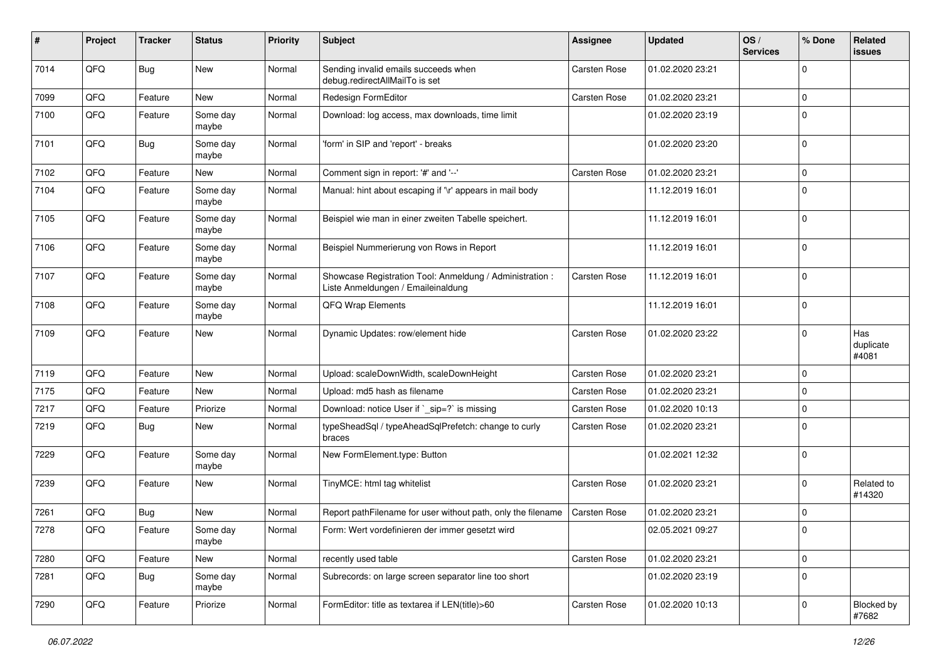| #    | Project | <b>Tracker</b> | <b>Status</b>     | <b>Priority</b> | <b>Subject</b>                                                                                 | Assignee            | <b>Updated</b>   | OS/<br><b>Services</b> | % Done      | Related<br>issues          |
|------|---------|----------------|-------------------|-----------------|------------------------------------------------------------------------------------------------|---------------------|------------------|------------------------|-------------|----------------------------|
| 7014 | QFQ     | Bug            | <b>New</b>        | Normal          | Sending invalid emails succeeds when<br>debug.redirectAllMailTo is set                         | Carsten Rose        | 01.02.2020 23:21 |                        | $\Omega$    |                            |
| 7099 | QFQ     | Feature        | New               | Normal          | Redesign FormEditor                                                                            | Carsten Rose        | 01.02.2020 23:21 |                        | 0           |                            |
| 7100 | QFQ     | Feature        | Some day<br>maybe | Normal          | Download: log access, max downloads, time limit                                                |                     | 01.02.2020 23:19 |                        | $\Omega$    |                            |
| 7101 | QFQ     | <b>Bug</b>     | Some day<br>maybe | Normal          | 'form' in SIP and 'report' - breaks                                                            |                     | 01.02.2020 23:20 |                        | l 0         |                            |
| 7102 | QFQ     | Feature        | <b>New</b>        | Normal          | Comment sign in report: '#' and '--'                                                           | Carsten Rose        | 01.02.2020 23:21 |                        | $\mathbf 0$ |                            |
| 7104 | QFQ     | Feature        | Some day<br>maybe | Normal          | Manual: hint about escaping if '\r' appears in mail body                                       |                     | 11.12.2019 16:01 |                        | 0           |                            |
| 7105 | QFQ     | Feature        | Some day<br>maybe | Normal          | Beispiel wie man in einer zweiten Tabelle speichert.                                           |                     | 11.12.2019 16:01 |                        | 0           |                            |
| 7106 | QFQ     | Feature        | Some day<br>maybe | Normal          | Beispiel Nummerierung von Rows in Report                                                       |                     | 11.12.2019 16:01 |                        | $\Omega$    |                            |
| 7107 | QFQ     | Feature        | Some day<br>maybe | Normal          | Showcase Registration Tool: Anmeldung / Administration :<br>Liste Anmeldungen / Emaileinaldung | Carsten Rose        | 11.12.2019 16:01 |                        | 0           |                            |
| 7108 | QFQ     | Feature        | Some day<br>maybe | Normal          | QFQ Wrap Elements                                                                              |                     | 11.12.2019 16:01 |                        | $\Omega$    |                            |
| 7109 | QFQ     | Feature        | New               | Normal          | Dynamic Updates: row/element hide                                                              | Carsten Rose        | 01.02.2020 23:22 |                        | $\Omega$    | Has<br>duplicate<br>#4081  |
| 7119 | QFQ     | Feature        | <b>New</b>        | Normal          | Upload: scaleDownWidth, scaleDownHeight                                                        | Carsten Rose        | 01.02.2020 23:21 |                        | 0           |                            |
| 7175 | QFQ     | Feature        | <b>New</b>        | Normal          | Upload: md5 hash as filename                                                                   | <b>Carsten Rose</b> | 01.02.2020 23:21 |                        | 0           |                            |
| 7217 | QFQ     | Feature        | Priorize          | Normal          | Download: notice User if `_sip=?` is missing                                                   | Carsten Rose        | 01.02.2020 10:13 |                        | 0           |                            |
| 7219 | QFQ     | Bug            | New               | Normal          | typeSheadSql / typeAheadSqlPrefetch: change to curly<br>braces                                 | Carsten Rose        | 01.02.2020 23:21 |                        | $\Omega$    |                            |
| 7229 | QFQ     | Feature        | Some day<br>maybe | Normal          | New FormElement.type: Button                                                                   |                     | 01.02.2021 12:32 |                        | $\Omega$    |                            |
| 7239 | QFQ     | Feature        | New               | Normal          | TinyMCE: html tag whitelist                                                                    | Carsten Rose        | 01.02.2020 23:21 |                        | $\Omega$    | Related to<br>#14320       |
| 7261 | QFQ     | Bug            | <b>New</b>        | Normal          | Report pathFilename for user without path, only the filename                                   | Carsten Rose        | 01.02.2020 23:21 |                        | 0           |                            |
| 7278 | QFQ     | Feature        | Some day<br>maybe | Normal          | Form: Wert vordefinieren der immer gesetzt wird                                                |                     | 02.05.2021 09:27 |                        | l O         |                            |
| 7280 | QFQ     | Feature        | New               | Normal          | recently used table                                                                            | Carsten Rose        | 01.02.2020 23:21 |                        | $\mathbf 0$ |                            |
| 7281 | QFQ     | <b>Bug</b>     | Some day<br>maybe | Normal          | Subrecords: on large screen separator line too short                                           |                     | 01.02.2020 23:19 |                        | 0           |                            |
| 7290 | QFQ     | Feature        | Priorize          | Normal          | FormEditor: title as textarea if LEN(title)>60                                                 | Carsten Rose        | 01.02.2020 10:13 |                        | $\mathbf 0$ | <b>Blocked by</b><br>#7682 |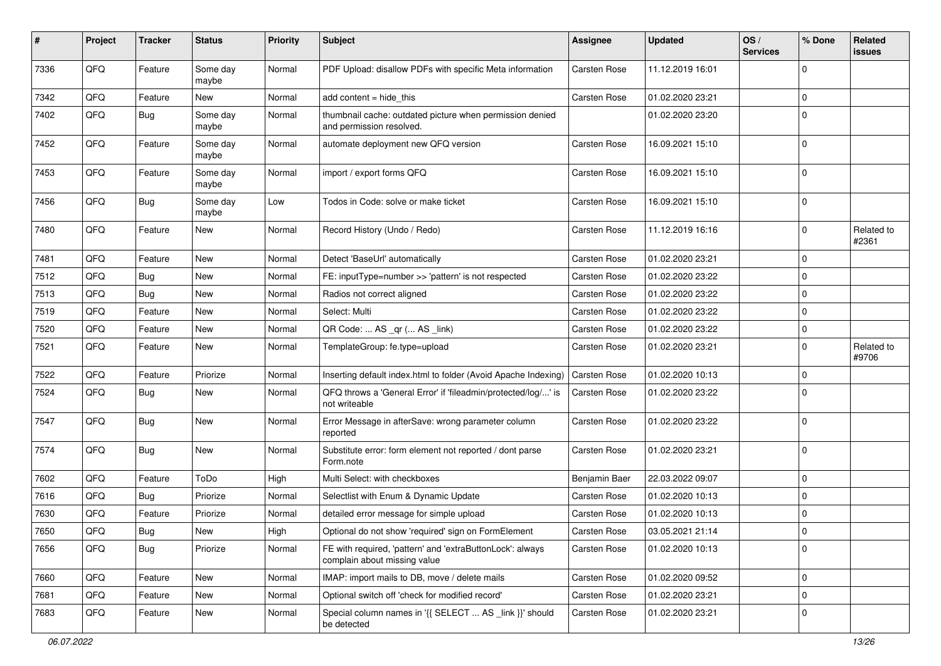| #    | Project | <b>Tracker</b> | <b>Status</b>     | <b>Priority</b> | Subject                                                                                   | <b>Assignee</b>     | <b>Updated</b>   | OS/<br><b>Services</b> | % Done         | Related<br>issues   |
|------|---------|----------------|-------------------|-----------------|-------------------------------------------------------------------------------------------|---------------------|------------------|------------------------|----------------|---------------------|
| 7336 | QFQ     | Feature        | Some day<br>maybe | Normal          | PDF Upload: disallow PDFs with specific Meta information                                  | Carsten Rose        | 11.12.2019 16:01 |                        | $\Omega$       |                     |
| 7342 | QFQ     | Feature        | New               | Normal          | add content = hide_this                                                                   | Carsten Rose        | 01.02.2020 23:21 |                        | 0              |                     |
| 7402 | QFQ     | <b>Bug</b>     | Some day<br>maybe | Normal          | thumbnail cache: outdated picture when permission denied<br>and permission resolved.      |                     | 01.02.2020 23:20 |                        | $\Omega$       |                     |
| 7452 | QFQ     | Feature        | Some day<br>maybe | Normal          | automate deployment new QFQ version                                                       | Carsten Rose        | 16.09.2021 15:10 |                        | $\Omega$       |                     |
| 7453 | QFQ     | Feature        | Some day<br>maybe | Normal          | import / export forms QFQ                                                                 | Carsten Rose        | 16.09.2021 15:10 |                        | $\Omega$       |                     |
| 7456 | QFQ     | Bug            | Some day<br>maybe | Low             | Todos in Code: solve or make ticket                                                       | Carsten Rose        | 16.09.2021 15:10 |                        | 0              |                     |
| 7480 | QFQ     | Feature        | New               | Normal          | Record History (Undo / Redo)                                                              | Carsten Rose        | 11.12.2019 16:16 |                        | 0              | Related to<br>#2361 |
| 7481 | QFQ     | Feature        | New               | Normal          | Detect 'BaseUrl' automatically                                                            | Carsten Rose        | 01.02.2020 23:21 |                        | 0              |                     |
| 7512 | QFQ     | <b>Bug</b>     | New               | Normal          | FE: inputType=number >> 'pattern' is not respected                                        | Carsten Rose        | 01.02.2020 23:22 |                        | 0              |                     |
| 7513 | QFQ     | <b>Bug</b>     | New               | Normal          | Radios not correct aligned                                                                | Carsten Rose        | 01.02.2020 23:22 |                        | 0              |                     |
| 7519 | QFQ     | Feature        | New               | Normal          | Select: Multi                                                                             | Carsten Rose        | 01.02.2020 23:22 |                        | 0              |                     |
| 7520 | QFQ     | Feature        | New               | Normal          | QR Code:  AS _qr ( AS _link)                                                              | Carsten Rose        | 01.02.2020 23:22 |                        | 0              |                     |
| 7521 | QFQ     | Feature        | New               | Normal          | TemplateGroup: fe.type=upload                                                             | Carsten Rose        | 01.02.2020 23:21 |                        | $\Omega$       | Related to<br>#9706 |
| 7522 | QFQ     | Feature        | Priorize          | Normal          | Inserting default index.html to folder (Avoid Apache Indexing)                            | Carsten Rose        | 01.02.2020 10:13 |                        | 0              |                     |
| 7524 | QFQ     | Bug            | New               | Normal          | QFQ throws a 'General Error' if 'fileadmin/protected/log/' is<br>not writeable            | <b>Carsten Rose</b> | 01.02.2020 23:22 |                        | $\Omega$       |                     |
| 7547 | QFQ     | Bug            | New               | Normal          | Error Message in afterSave: wrong parameter column<br>reported                            | Carsten Rose        | 01.02.2020 23:22 |                        | 0              |                     |
| 7574 | QFQ     | Bug            | New               | Normal          | Substitute error: form element not reported / dont parse<br>Form.note                     | Carsten Rose        | 01.02.2020 23:21 |                        | $\Omega$       |                     |
| 7602 | QFQ     | Feature        | ToDo              | High            | Multi Select: with checkboxes                                                             | Benjamin Baer       | 22.03.2022 09:07 |                        | $\mathbf 0$    |                     |
| 7616 | QFQ     | <b>Bug</b>     | Priorize          | Normal          | Selectlist with Enum & Dynamic Update                                                     | Carsten Rose        | 01.02.2020 10:13 |                        | 0              |                     |
| 7630 | QFQ     | Feature        | Priorize          | Normal          | detailed error message for simple upload                                                  | Carsten Rose        | 01.02.2020 10:13 |                        | 0              |                     |
| 7650 | QFQ     | Bug            | New               | High            | Optional do not show 'required' sign on FormElement                                       | Carsten Rose        | 03.05.2021 21:14 |                        | $\Omega$       |                     |
| 7656 | QFQ     | <b>Bug</b>     | Priorize          | Normal          | FE with required, 'pattern' and 'extraButtonLock': always<br>complain about missing value | Carsten Rose        | 01.02.2020 10:13 |                        | 0              |                     |
| 7660 | QFQ     | Feature        | New               | Normal          | IMAP: import mails to DB, move / delete mails                                             | Carsten Rose        | 01.02.2020 09:52 |                        | $\overline{0}$ |                     |
| 7681 | QFQ     | Feature        | New               | Normal          | Optional switch off 'check for modified record'                                           | Carsten Rose        | 01.02.2020 23:21 |                        | 0              |                     |
| 7683 | QFQ     | Feature        | New               | Normal          | Special column names in '{{ SELECT  AS _link }}' should<br>be detected                    | Carsten Rose        | 01.02.2020 23:21 |                        | 0              |                     |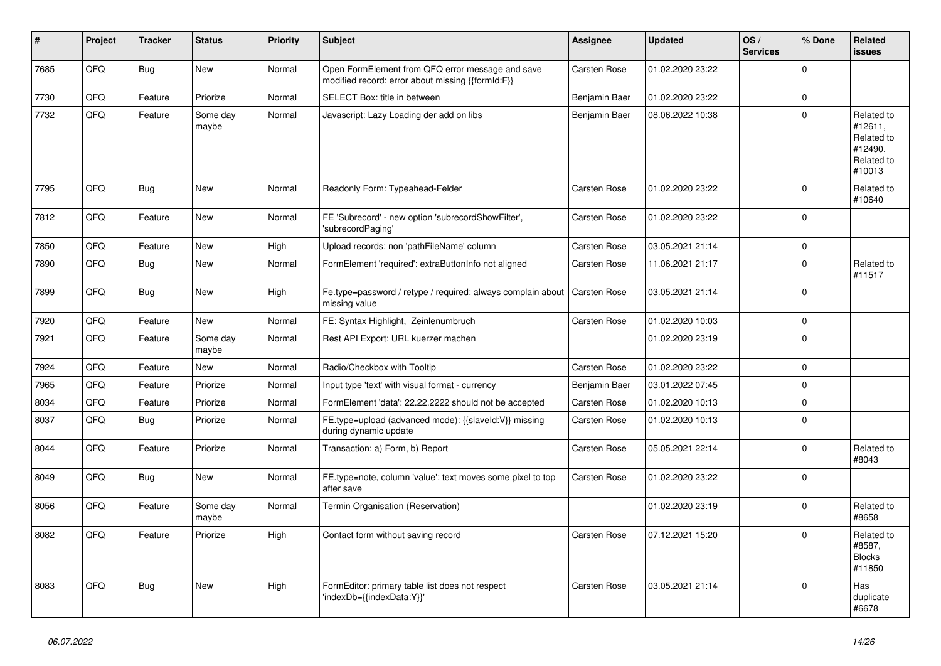| #    | Project | <b>Tracker</b> | <b>Status</b>     | <b>Priority</b> | <b>Subject</b>                                                                                        | Assignee            | <b>Updated</b>   | OS/<br><b>Services</b> | % Done         | Related<br><b>issues</b>                                               |
|------|---------|----------------|-------------------|-----------------|-------------------------------------------------------------------------------------------------------|---------------------|------------------|------------------------|----------------|------------------------------------------------------------------------|
| 7685 | QFQ     | <b>Bug</b>     | New               | Normal          | Open FormElement from QFQ error message and save<br>modified record: error about missing {{formId:F}} | <b>Carsten Rose</b> | 01.02.2020 23:22 |                        | $\Omega$       |                                                                        |
| 7730 | QFQ     | Feature        | Priorize          | Normal          | SELECT Box: title in between                                                                          | Benjamin Baer       | 01.02.2020 23:22 |                        | $\mathbf 0$    |                                                                        |
| 7732 | QFQ     | Feature        | Some day<br>maybe | Normal          | Javascript: Lazy Loading der add on libs                                                              | Benjamin Baer       | 08.06.2022 10:38 |                        | $\Omega$       | Related to<br>#12611,<br>Related to<br>#12490.<br>Related to<br>#10013 |
| 7795 | QFQ     | Bug            | <b>New</b>        | Normal          | Readonly Form: Typeahead-Felder                                                                       | <b>Carsten Rose</b> | 01.02.2020 23:22 |                        | $\Omega$       | Related to<br>#10640                                                   |
| 7812 | QFQ     | Feature        | <b>New</b>        | Normal          | FE 'Subrecord' - new option 'subrecordShowFilter',<br>'subrecordPaging'                               | <b>Carsten Rose</b> | 01.02.2020 23:22 |                        | $\overline{0}$ |                                                                        |
| 7850 | QFQ     | Feature        | New               | High            | Upload records: non 'pathFileName' column                                                             | <b>Carsten Rose</b> | 03.05.2021 21:14 |                        | $\mathbf 0$    |                                                                        |
| 7890 | QFQ     | Bug            | New               | Normal          | FormElement 'required': extraButtonInfo not aligned                                                   | Carsten Rose        | 11.06.2021 21:17 |                        | $\mathbf 0$    | Related to<br>#11517                                                   |
| 7899 | QFQ     | <b>Bug</b>     | <b>New</b>        | High            | Fe.type=password / retype / required: always complain about<br>missing value                          | Carsten Rose        | 03.05.2021 21:14 |                        | $\overline{0}$ |                                                                        |
| 7920 | QFQ     | Feature        | <b>New</b>        | Normal          | FE: Syntax Highlight, Zeinlenumbruch                                                                  | <b>Carsten Rose</b> | 01.02.2020 10:03 |                        | $\Omega$       |                                                                        |
| 7921 | QFQ     | Feature        | Some day<br>maybe | Normal          | Rest API Export: URL kuerzer machen                                                                   |                     | 01.02.2020 23:19 |                        | $\overline{0}$ |                                                                        |
| 7924 | QFQ     | Feature        | New               | Normal          | Radio/Checkbox with Tooltip                                                                           | Carsten Rose        | 01.02.2020 23:22 |                        | $\Omega$       |                                                                        |
| 7965 | QFQ     | Feature        | Priorize          | Normal          | Input type 'text' with visual format - currency                                                       | Benjamin Baer       | 03.01.2022 07:45 |                        | $\Omega$       |                                                                        |
| 8034 | QFQ     | Feature        | Priorize          | Normal          | FormElement 'data': 22.22.2222 should not be accepted                                                 | <b>Carsten Rose</b> | 01.02.2020 10:13 |                        | $\Omega$       |                                                                        |
| 8037 | QFQ     | <b>Bug</b>     | Priorize          | Normal          | FE.type=upload (advanced mode): {{slaveld:V}} missing<br>during dynamic update                        | <b>Carsten Rose</b> | 01.02.2020 10:13 |                        | $\Omega$       |                                                                        |
| 8044 | QFQ     | Feature        | Priorize          | Normal          | Transaction: a) Form, b) Report                                                                       | <b>Carsten Rose</b> | 05.05.2021 22:14 |                        | $\mathbf 0$    | Related to<br>#8043                                                    |
| 8049 | QFQ     | <b>Bug</b>     | <b>New</b>        | Normal          | FE.type=note, column 'value': text moves some pixel to top<br>after save                              | Carsten Rose        | 01.02.2020 23:22 |                        | $\Omega$       |                                                                        |
| 8056 | QFQ     | Feature        | Some day<br>maybe | Normal          | Termin Organisation (Reservation)                                                                     |                     | 01.02.2020 23:19 |                        | $\Omega$       | Related to<br>#8658                                                    |
| 8082 | QFQ     | Feature        | Priorize          | High            | Contact form without saving record                                                                    | Carsten Rose        | 07.12.2021 15:20 |                        | $\Omega$       | Related to<br>#8587,<br><b>Blocks</b><br>#11850                        |
| 8083 | QFQ     | Bug            | New               | High            | FormEditor: primary table list does not respect<br>'indexDb={{indexData:Y}}'                          | Carsten Rose        | 03.05.2021 21:14 |                        | $\Omega$       | Has<br>duplicate<br>#6678                                              |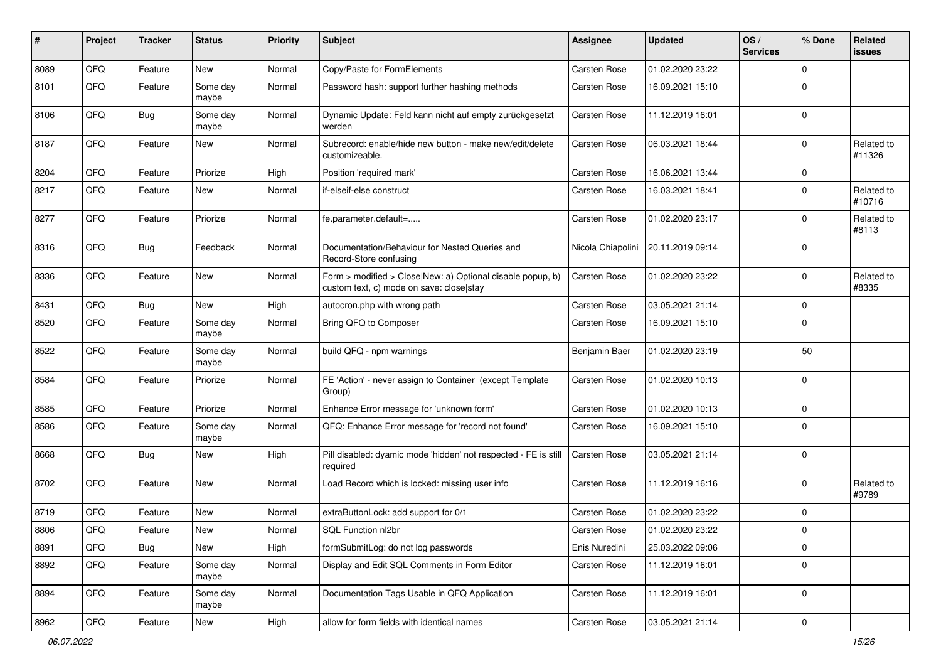| #    | Project | <b>Tracker</b> | <b>Status</b>     | <b>Priority</b> | Subject                                                                                                | <b>Assignee</b>     | <b>Updated</b>   | OS/<br><b>Services</b> | % Done         | Related<br>issues    |
|------|---------|----------------|-------------------|-----------------|--------------------------------------------------------------------------------------------------------|---------------------|------------------|------------------------|----------------|----------------------|
| 8089 | QFQ     | Feature        | New               | Normal          | Copy/Paste for FormElements                                                                            | <b>Carsten Rose</b> | 01.02.2020 23:22 |                        | $\Omega$       |                      |
| 8101 | QFQ     | Feature        | Some day<br>maybe | Normal          | Password hash: support further hashing methods                                                         | Carsten Rose        | 16.09.2021 15:10 |                        | $\Omega$       |                      |
| 8106 | QFQ     | Bug            | Some day<br>maybe | Normal          | Dynamic Update: Feld kann nicht auf empty zurückgesetzt<br>werden                                      | Carsten Rose        | 11.12.2019 16:01 |                        | $\Omega$       |                      |
| 8187 | QFQ     | Feature        | New               | Normal          | Subrecord: enable/hide new button - make new/edit/delete<br>customizeable.                             | <b>Carsten Rose</b> | 06.03.2021 18:44 |                        | $\Omega$       | Related to<br>#11326 |
| 8204 | QFQ     | Feature        | Priorize          | High            | Position 'required mark'                                                                               | Carsten Rose        | 16.06.2021 13:44 |                        | $\Omega$       |                      |
| 8217 | QFQ     | Feature        | New               | Normal          | if-elseif-else construct                                                                               | Carsten Rose        | 16.03.2021 18:41 |                        | $\Omega$       | Related to<br>#10716 |
| 8277 | QFQ     | Feature        | Priorize          | Normal          | fe.parameter.default=                                                                                  | <b>Carsten Rose</b> | 01.02.2020 23:17 |                        | $\Omega$       | Related to<br>#8113  |
| 8316 | QFQ     | Bug            | Feedback          | Normal          | Documentation/Behaviour for Nested Queries and<br>Record-Store confusing                               | Nicola Chiapolini   | 20.11.2019 09:14 |                        | $\Omega$       |                      |
| 8336 | QFQ     | Feature        | New               | Normal          | Form > modified > Close New: a) Optional disable popup, b)<br>custom text, c) mode on save: close stay | <b>Carsten Rose</b> | 01.02.2020 23:22 |                        | $\Omega$       | Related to<br>#8335  |
| 8431 | QFQ     | Bug            | New               | High            | autocron.php with wrong path                                                                           | <b>Carsten Rose</b> | 03.05.2021 21:14 |                        | $\Omega$       |                      |
| 8520 | QFQ     | Feature        | Some day<br>maybe | Normal          | Bring QFQ to Composer                                                                                  | <b>Carsten Rose</b> | 16.09.2021 15:10 |                        | $\Omega$       |                      |
| 8522 | QFQ     | Feature        | Some day<br>maybe | Normal          | build QFQ - npm warnings                                                                               | Benjamin Baer       | 01.02.2020 23:19 |                        | 50             |                      |
| 8584 | QFQ     | Feature        | Priorize          | Normal          | FE 'Action' - never assign to Container (except Template<br>Group)                                     | Carsten Rose        | 01.02.2020 10:13 |                        | $\Omega$       |                      |
| 8585 | QFQ     | Feature        | Priorize          | Normal          | Enhance Error message for 'unknown form'                                                               | Carsten Rose        | 01.02.2020 10:13 |                        | $\mathbf 0$    |                      |
| 8586 | QFQ     | Feature        | Some day<br>maybe | Normal          | QFQ: Enhance Error message for 'record not found'                                                      | Carsten Rose        | 16.09.2021 15:10 |                        | $\Omega$       |                      |
| 8668 | QFQ     | Bug            | New               | High            | Pill disabled: dyamic mode 'hidden' not respected - FE is still<br>required                            | <b>Carsten Rose</b> | 03.05.2021 21:14 |                        | $\Omega$       |                      |
| 8702 | QFQ     | Feature        | New               | Normal          | Load Record which is locked: missing user info                                                         | <b>Carsten Rose</b> | 11.12.2019 16:16 |                        | 0              | Related to<br>#9789  |
| 8719 | QFQ     | Feature        | New               | Normal          | extraButtonLock: add support for 0/1                                                                   | <b>Carsten Rose</b> | 01.02.2020 23:22 |                        | $\Omega$       |                      |
| 8806 | QFQ     | Feature        | New               | Normal          | SQL Function nl2br                                                                                     | <b>Carsten Rose</b> | 01.02.2020 23:22 |                        | $\Omega$       |                      |
| 8891 | QFQ     | <b>Bug</b>     | New               | High            | formSubmitLog: do not log passwords                                                                    | Enis Nuredini       | 25.03.2022 09:06 |                        | 0              |                      |
| 8892 | QFQ     | Feature        | Some day<br>maybe | Normal          | Display and Edit SQL Comments in Form Editor                                                           | Carsten Rose        | 11.12.2019 16:01 |                        | $\mathbf 0$    |                      |
| 8894 | QFQ     | Feature        | Some day<br>maybe | Normal          | Documentation Tags Usable in QFQ Application                                                           | Carsten Rose        | 11.12.2019 16:01 |                        | $\overline{0}$ |                      |
| 8962 | QFQ     | Feature        | New               | High            | allow for form fields with identical names                                                             | Carsten Rose        | 03.05.2021 21:14 |                        | $\mathbf 0$    |                      |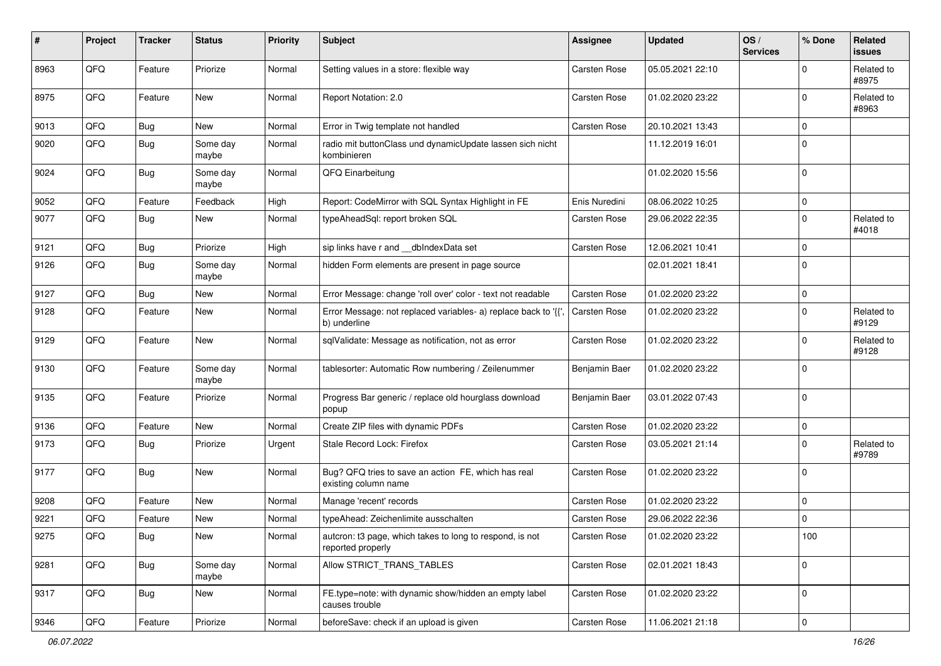| #    | Project | <b>Tracker</b> | <b>Status</b>     | <b>Priority</b> | <b>Subject</b>                                                                 | <b>Assignee</b>     | <b>Updated</b>   | OS/<br><b>Services</b> | % Done      | Related<br><b>issues</b> |
|------|---------|----------------|-------------------|-----------------|--------------------------------------------------------------------------------|---------------------|------------------|------------------------|-------------|--------------------------|
| 8963 | QFQ     | Feature        | Priorize          | Normal          | Setting values in a store: flexible way                                        | <b>Carsten Rose</b> | 05.05.2021 22:10 |                        | 0           | Related to<br>#8975      |
| 8975 | QFQ     | Feature        | New               | Normal          | Report Notation: 2.0                                                           | <b>Carsten Rose</b> | 01.02.2020 23:22 |                        | $\Omega$    | Related to<br>#8963      |
| 9013 | QFQ     | <b>Bug</b>     | New               | Normal          | Error in Twig template not handled                                             | <b>Carsten Rose</b> | 20.10.2021 13:43 |                        | 0           |                          |
| 9020 | QFQ     | <b>Bug</b>     | Some day<br>maybe | Normal          | radio mit buttonClass und dynamicUpdate lassen sich nicht<br>kombinieren       |                     | 11.12.2019 16:01 |                        | $\Omega$    |                          |
| 9024 | QFQ     | <b>Bug</b>     | Some day<br>maybe | Normal          | QFQ Einarbeitung                                                               |                     | 01.02.2020 15:56 |                        | $\Omega$    |                          |
| 9052 | QFQ     | Feature        | Feedback          | High            | Report: CodeMirror with SQL Syntax Highlight in FE                             | Enis Nuredini       | 08.06.2022 10:25 |                        | $\mathbf 0$ |                          |
| 9077 | QFQ     | <b>Bug</b>     | New               | Normal          | typeAheadSql: report broken SQL                                                | Carsten Rose        | 29.06.2022 22:35 |                        | $\mathbf 0$ | Related to<br>#4018      |
| 9121 | QFQ     | <b>Bug</b>     | Priorize          | High            | sip links have r and __dbIndexData set                                         | <b>Carsten Rose</b> | 12.06.2021 10:41 |                        | $\Omega$    |                          |
| 9126 | QFQ     | <b>Bug</b>     | Some day<br>maybe | Normal          | hidden Form elements are present in page source                                |                     | 02.01.2021 18:41 |                        | $\Omega$    |                          |
| 9127 | QFQ     | <b>Bug</b>     | New               | Normal          | Error Message: change 'roll over' color - text not readable                    | <b>Carsten Rose</b> | 01.02.2020 23:22 |                        | $\Omega$    |                          |
| 9128 | QFQ     | Feature        | New               | Normal          | Error Message: not replaced variables- a) replace back to '{{'<br>b) underline | <b>Carsten Rose</b> | 01.02.2020 23:22 |                        | $\Omega$    | Related to<br>#9129      |
| 9129 | QFQ     | Feature        | New               | Normal          | sqlValidate: Message as notification, not as error                             | <b>Carsten Rose</b> | 01.02.2020 23:22 |                        | $\Omega$    | Related to<br>#9128      |
| 9130 | QFQ     | Feature        | Some day<br>maybe | Normal          | tablesorter: Automatic Row numbering / Zeilenummer                             | Benjamin Baer       | 01.02.2020 23:22 |                        | $\Omega$    |                          |
| 9135 | QFQ     | Feature        | Priorize          | Normal          | Progress Bar generic / replace old hourglass download<br>popup                 | Benjamin Baer       | 03.01.2022 07:43 |                        | $\Omega$    |                          |
| 9136 | QFQ     | Feature        | New               | Normal          | Create ZIP files with dynamic PDFs                                             | <b>Carsten Rose</b> | 01.02.2020 23:22 |                        | $\Omega$    |                          |
| 9173 | QFQ     | <b>Bug</b>     | Priorize          | Urgent          | Stale Record Lock: Firefox                                                     | Carsten Rose        | 03.05.2021 21:14 |                        | $\Omega$    | Related to<br>#9789      |
| 9177 | QFQ     | <b>Bug</b>     | New               | Normal          | Bug? QFQ tries to save an action FE, which has real<br>existing column name    | <b>Carsten Rose</b> | 01.02.2020 23:22 |                        | $\mathbf 0$ |                          |
| 9208 | QFQ     | Feature        | New               | Normal          | Manage 'recent' records                                                        | <b>Carsten Rose</b> | 01.02.2020 23:22 |                        | $\Omega$    |                          |
| 9221 | QFQ     | Feature        | New               | Normal          | typeAhead: Zeichenlimite ausschalten                                           | Carsten Rose        | 29.06.2022 22:36 |                        | $\Omega$    |                          |
| 9275 | QFQ     | Bug            | New               | Normal          | auteron: t3 page, which takes to long to respond, is not<br>reported properly  | Carsten Rose        | 01.02.2020 23:22 |                        | 100         |                          |
| 9281 | QFQ     | <b>Bug</b>     | Some day<br>maybe | Normal          | Allow STRICT TRANS TABLES                                                      | Carsten Rose        | 02.01.2021 18:43 |                        | $\mathbf 0$ |                          |
| 9317 | QFQ     | <b>Bug</b>     | New               | Normal          | FE.type=note: with dynamic show/hidden an empty label<br>causes trouble        | Carsten Rose        | 01.02.2020 23:22 |                        | $\mathbf 0$ |                          |
| 9346 | QFG     | Feature        | Priorize          | Normal          | beforeSave: check if an upload is given                                        | Carsten Rose        | 11.06.2021 21:18 |                        | $\mathbf 0$ |                          |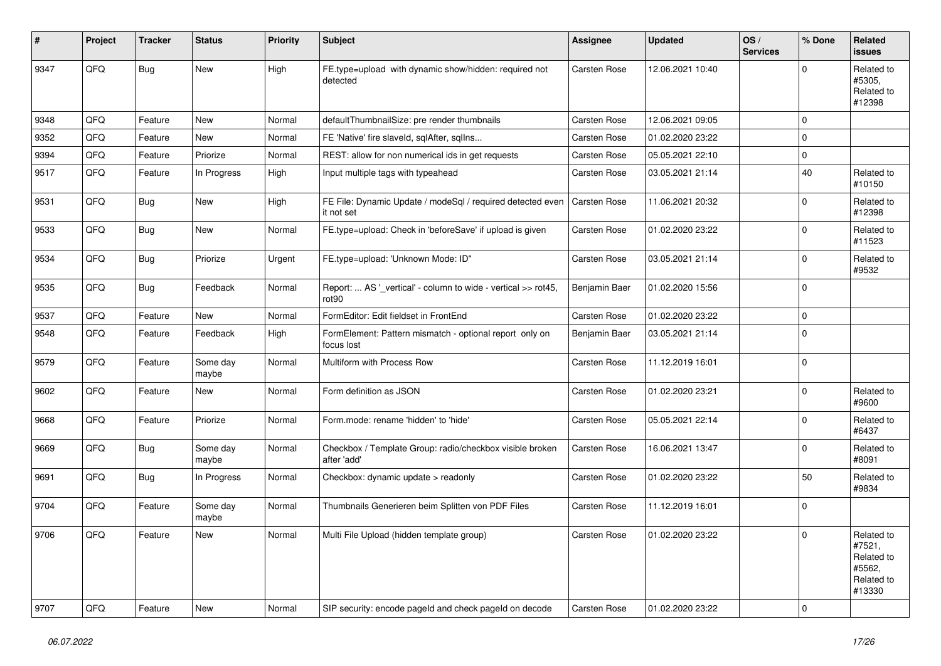| #    | Project | <b>Tracker</b> | <b>Status</b>     | <b>Priority</b> | <b>Subject</b>                                                           | <b>Assignee</b>     | <b>Updated</b>   | OS/<br><b>Services</b> | % Done      | Related<br><b>issues</b>                                             |
|------|---------|----------------|-------------------|-----------------|--------------------------------------------------------------------------|---------------------|------------------|------------------------|-------------|----------------------------------------------------------------------|
| 9347 | QFQ     | Bug            | <b>New</b>        | High            | FE.type=upload with dynamic show/hidden: required not<br>detected        | <b>Carsten Rose</b> | 12.06.2021 10:40 |                        | $\Omega$    | Related to<br>#5305.<br>Related to<br>#12398                         |
| 9348 | QFQ     | Feature        | <b>New</b>        | Normal          | defaultThumbnailSize: pre render thumbnails                              | <b>Carsten Rose</b> | 12.06.2021 09:05 |                        | $\Omega$    |                                                                      |
| 9352 | QFQ     | Feature        | New               | Normal          | FE 'Native' fire slaveld, sqlAfter, sqllns                               | <b>Carsten Rose</b> | 01.02.2020 23:22 |                        | $\Omega$    |                                                                      |
| 9394 | QFQ     | Feature        | Priorize          | Normal          | REST: allow for non numerical ids in get requests                        | <b>Carsten Rose</b> | 05.05.2021 22:10 |                        | $\mathbf 0$ |                                                                      |
| 9517 | QFQ     | Feature        | In Progress       | High            | Input multiple tags with typeahead                                       | <b>Carsten Rose</b> | 03.05.2021 21:14 |                        | 40          | Related to<br>#10150                                                 |
| 9531 | QFQ     | <b>Bug</b>     | New               | High            | FE File: Dynamic Update / modeSql / required detected even<br>it not set | <b>Carsten Rose</b> | 11.06.2021 20:32 |                        | $\mathbf 0$ | Related to<br>#12398                                                 |
| 9533 | QFQ     | <b>Bug</b>     | <b>New</b>        | Normal          | FE.type=upload: Check in 'beforeSave' if upload is given                 | Carsten Rose        | 01.02.2020 23:22 |                        | $\Omega$    | Related to<br>#11523                                                 |
| 9534 | QFQ     | Bug            | Priorize          | Urgent          | FE.type=upload: 'Unknown Mode: ID"                                       | <b>Carsten Rose</b> | 03.05.2021 21:14 |                        | $\Omega$    | Related to<br>#9532                                                  |
| 9535 | QFQ     | Bug            | Feedback          | Normal          | Report:  AS '_vertical' - column to wide - vertical >> rot45,<br>rot90   | Benjamin Baer       | 01.02.2020 15:56 |                        | $\mathbf 0$ |                                                                      |
| 9537 | QFQ     | Feature        | New               | Normal          | FormEditor: Edit fieldset in FrontEnd                                    | <b>Carsten Rose</b> | 01.02.2020 23:22 |                        | $\pmb{0}$   |                                                                      |
| 9548 | QFQ     | Feature        | Feedback          | High            | FormElement: Pattern mismatch - optional report only on<br>focus lost    | Benjamin Baer       | 03.05.2021 21:14 |                        | $\Omega$    |                                                                      |
| 9579 | QFQ     | Feature        | Some day<br>maybe | Normal          | Multiform with Process Row                                               | <b>Carsten Rose</b> | 11.12.2019 16:01 |                        | $\mathbf 0$ |                                                                      |
| 9602 | QFQ     | Feature        | New               | Normal          | Form definition as JSON                                                  | <b>Carsten Rose</b> | 01.02.2020 23:21 |                        | $\Omega$    | Related to<br>#9600                                                  |
| 9668 | QFQ     | Feature        | Priorize          | Normal          | Form.mode: rename 'hidden' to 'hide'                                     | <b>Carsten Rose</b> | 05.05.2021 22:14 |                        | $\Omega$    | Related to<br>#6437                                                  |
| 9669 | QFQ     | <b>Bug</b>     | Some day<br>maybe | Normal          | Checkbox / Template Group: radio/checkbox visible broken<br>after 'add'  | <b>Carsten Rose</b> | 16.06.2021 13:47 |                        | $\mathbf 0$ | Related to<br>#8091                                                  |
| 9691 | QFQ     | <b>Bug</b>     | In Progress       | Normal          | Checkbox: dynamic update > readonly                                      | <b>Carsten Rose</b> | 01.02.2020 23:22 |                        | 50          | Related to<br>#9834                                                  |
| 9704 | QFQ     | Feature        | Some day<br>maybe | Normal          | Thumbnails Generieren beim Splitten von PDF Files                        | <b>Carsten Rose</b> | 11.12.2019 16:01 |                        | $\mathbf 0$ |                                                                      |
| 9706 | QFQ     | Feature        | New               | Normal          | Multi File Upload (hidden template group)                                | <b>Carsten Rose</b> | 01.02.2020 23:22 |                        | $\Omega$    | Related to<br>#7521,<br>Related to<br>#5562,<br>Related to<br>#13330 |
| 9707 | QFQ     | Feature        | New               | Normal          | SIP security: encode pageld and check pageld on decode                   | Carsten Rose        | 01.02.2020 23:22 |                        | $\mathbf 0$ |                                                                      |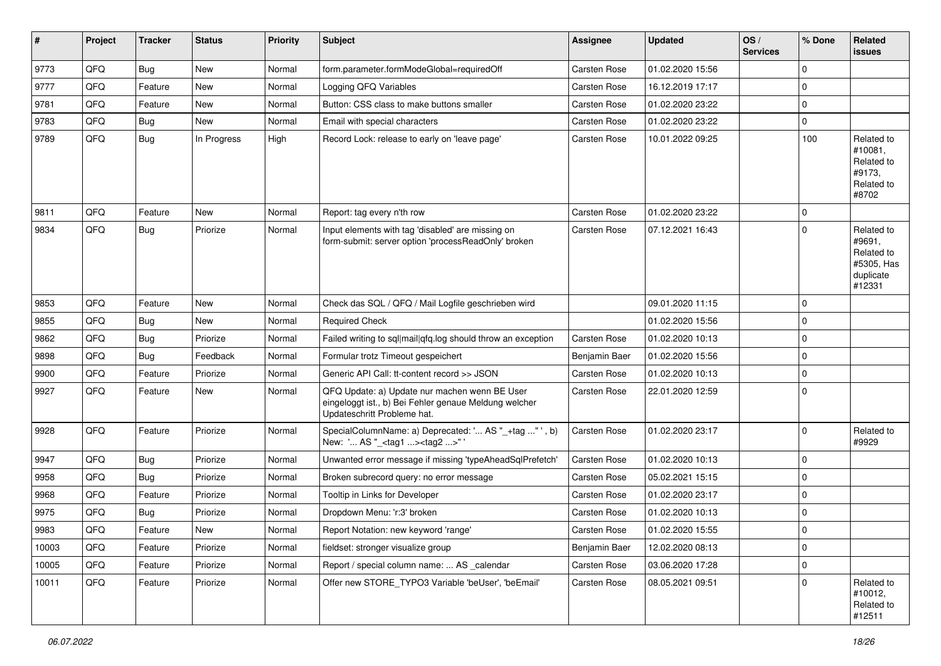| ∦     | Project | <b>Tracker</b> | <b>Status</b> | <b>Priority</b> | Subject                                                                                                                               | <b>Assignee</b>     | <b>Updated</b>   | OS/<br><b>Services</b> | % Done      | Related<br>issues                                                       |
|-------|---------|----------------|---------------|-----------------|---------------------------------------------------------------------------------------------------------------------------------------|---------------------|------------------|------------------------|-------------|-------------------------------------------------------------------------|
| 9773  | QFQ     | Bug            | <b>New</b>    | Normal          | form.parameter.formModeGlobal=requiredOff                                                                                             | <b>Carsten Rose</b> | 01.02.2020 15:56 |                        | $\Omega$    |                                                                         |
| 9777  | QFQ     | Feature        | New           | Normal          | Logging QFQ Variables                                                                                                                 | <b>Carsten Rose</b> | 16.12.2019 17:17 |                        | $\mathbf 0$ |                                                                         |
| 9781  | QFQ     | Feature        | New           | Normal          | Button: CSS class to make buttons smaller                                                                                             | <b>Carsten Rose</b> | 01.02.2020 23:22 |                        | $\mathbf 0$ |                                                                         |
| 9783  | QFQ     | Bug            | <b>New</b>    | Normal          | Email with special characters                                                                                                         | <b>Carsten Rose</b> | 01.02.2020 23:22 |                        | $\Omega$    |                                                                         |
| 9789  | QFQ     | Bug            | In Progress   | High            | Record Lock: release to early on 'leave page'                                                                                         | <b>Carsten Rose</b> | 10.01.2022 09:25 |                        | 100         | Related to<br>#10081.<br>Related to<br>#9173.<br>Related to<br>#8702    |
| 9811  | QFQ     | Feature        | <b>New</b>    | Normal          | Report: tag every n'th row                                                                                                            | <b>Carsten Rose</b> | 01.02.2020 23:22 |                        | $\Omega$    |                                                                         |
| 9834  | QFQ     | Bug            | Priorize      | Normal          | Input elements with tag 'disabled' are missing on<br>form-submit: server option 'processReadOnly' broken                              | <b>Carsten Rose</b> | 07.12.2021 16:43 |                        | $\Omega$    | Related to<br>#9691,<br>Related to<br>#5305, Has<br>duplicate<br>#12331 |
| 9853  | QFQ     | Feature        | <b>New</b>    | Normal          | Check das SQL / QFQ / Mail Logfile geschrieben wird                                                                                   |                     | 09.01.2020 11:15 |                        | $\mathbf 0$ |                                                                         |
| 9855  | QFQ     | Bug            | <b>New</b>    | Normal          | <b>Required Check</b>                                                                                                                 |                     | 01.02.2020 15:56 |                        | 0           |                                                                         |
| 9862  | QFQ     | Bug            | Priorize      | Normal          | Failed writing to sql mail qfq.log should throw an exception                                                                          | Carsten Rose        | 01.02.2020 10:13 |                        | $\mathbf 0$ |                                                                         |
| 9898  | QFQ     | Bug            | Feedback      | Normal          | Formular trotz Timeout gespeichert                                                                                                    | Benjamin Baer       | 01.02.2020 15:56 |                        | $\mathbf 0$ |                                                                         |
| 9900  | QFQ     | Feature        | Priorize      | Normal          | Generic API Call: tt-content record >> JSON                                                                                           | <b>Carsten Rose</b> | 01.02.2020 10:13 |                        | $\Omega$    |                                                                         |
| 9927  | QFQ     | Feature        | New           | Normal          | QFQ Update: a) Update nur machen wenn BE User<br>eingeloggt ist., b) Bei Fehler genaue Meldung welcher<br>Updateschritt Probleme hat. | <b>Carsten Rose</b> | 22.01.2020 12:59 |                        | 0           |                                                                         |
| 9928  | QFQ     | Feature        | Priorize      | Normal          | SpecialColumnName: a) Deprecated: ' AS "_+tag " ', b)<br>New: ' AS "_ <tag1><tag2>"'</tag2></tag1>                                    | <b>Carsten Rose</b> | 01.02.2020 23:17 |                        | $\mathbf 0$ | Related to<br>#9929                                                     |
| 9947  | QFQ     | Bug            | Priorize      | Normal          | Unwanted error message if missing 'typeAheadSqlPrefetch'                                                                              | <b>Carsten Rose</b> | 01.02.2020 10:13 |                        | $\mathbf 0$ |                                                                         |
| 9958  | QFQ     | <b>Bug</b>     | Priorize      | Normal          | Broken subrecord query: no error message                                                                                              | <b>Carsten Rose</b> | 05.02.2021 15:15 |                        | 0           |                                                                         |
| 9968  | QFQ     | Feature        | Priorize      | Normal          | Tooltip in Links for Developer                                                                                                        | <b>Carsten Rose</b> | 01.02.2020 23:17 |                        | $\Omega$    |                                                                         |
| 9975  | QFQ     | Bug            | Priorize      | Normal          | Dropdown Menu: 'r:3' broken                                                                                                           | <b>Carsten Rose</b> | 01.02.2020 10:13 |                        | $\mathbf 0$ |                                                                         |
| 9983  | QFQ     | Feature        | New           | Normal          | Report Notation: new keyword 'range'                                                                                                  | <b>Carsten Rose</b> | 01.02.2020 15:55 |                        | $\Omega$    |                                                                         |
| 10003 | QFQ     | Feature        | Priorize      | Normal          | fieldset: stronger visualize group                                                                                                    | Benjamin Baer       | 12.02.2020 08:13 |                        | $\mathbf 0$ |                                                                         |
| 10005 | QFQ     | Feature        | Priorize      | Normal          | Report / special column name:  AS _calendar                                                                                           | Carsten Rose        | 03.06.2020 17:28 |                        | $\mathbf 0$ |                                                                         |
| 10011 | QFQ     | Feature        | Priorize      | Normal          | Offer new STORE_TYPO3 Variable 'beUser', 'beEmail'                                                                                    | Carsten Rose        | 08.05.2021 09:51 |                        | 0           | Related to<br>#10012,<br>Related to<br>#12511                           |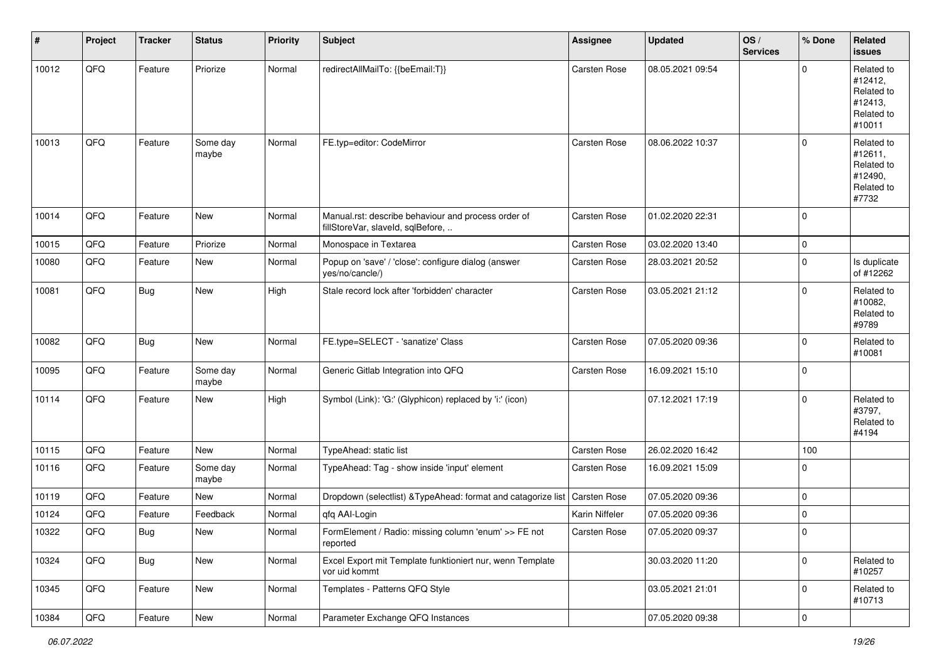| #     | Project | <b>Tracker</b> | <b>Status</b>     | <b>Priority</b> | <b>Subject</b>                                                                           | <b>Assignee</b>     | <b>Updated</b>   | OS/<br><b>Services</b> | % Done              | Related<br><b>issues</b>                                               |
|-------|---------|----------------|-------------------|-----------------|------------------------------------------------------------------------------------------|---------------------|------------------|------------------------|---------------------|------------------------------------------------------------------------|
| 10012 | QFQ     | Feature        | Priorize          | Normal          | redirectAllMailTo: {{beEmail:T}}                                                         | Carsten Rose        | 08.05.2021 09:54 |                        | $\mathbf 0$         | Related to<br>#12412,<br>Related to<br>#12413,<br>Related to<br>#10011 |
| 10013 | QFQ     | Feature        | Some day<br>maybe | Normal          | FE.typ=editor: CodeMirror                                                                | <b>Carsten Rose</b> | 08.06.2022 10:37 |                        | $\mathbf 0$         | Related to<br>#12611,<br>Related to<br>#12490,<br>Related to<br>#7732  |
| 10014 | QFQ     | Feature        | New               | Normal          | Manual.rst: describe behaviour and process order of<br>fillStoreVar, slaveId, sqlBefore, | Carsten Rose        | 01.02.2020 22:31 |                        | $\mathbf 0$         |                                                                        |
| 10015 | QFQ     | Feature        | Priorize          | Normal          | Monospace in Textarea                                                                    | <b>Carsten Rose</b> | 03.02.2020 13:40 |                        | $\mathbf 0$         |                                                                        |
| 10080 | QFQ     | Feature        | New               | Normal          | Popup on 'save' / 'close': configure dialog (answer<br>yes/no/cancle/)                   | Carsten Rose        | 28.03.2021 20:52 |                        | $\mathbf 0$         | Is duplicate<br>of #12262                                              |
| 10081 | QFQ     | <b>Bug</b>     | New               | High            | Stale record lock after 'forbidden' character                                            | <b>Carsten Rose</b> | 03.05.2021 21:12 |                        | $\mathbf 0$         | Related to<br>#10082,<br>Related to<br>#9789                           |
| 10082 | QFQ     | <b>Bug</b>     | New               | Normal          | FE.type=SELECT - 'sanatize' Class                                                        | Carsten Rose        | 07.05.2020 09:36 |                        | $\mathbf 0$         | Related to<br>#10081                                                   |
| 10095 | QFQ     | Feature        | Some day<br>maybe | Normal          | Generic Gitlab Integration into QFQ                                                      | Carsten Rose        | 16.09.2021 15:10 |                        | $\mathbf 0$         |                                                                        |
| 10114 | QFQ     | Feature        | New               | High            | Symbol (Link): 'G:' (Glyphicon) replaced by 'i:' (icon)                                  |                     | 07.12.2021 17:19 |                        | $\mathbf 0$         | Related to<br>#3797,<br>Related to<br>#4194                            |
| 10115 | QFQ     | Feature        | New               | Normal          | TypeAhead: static list                                                                   | <b>Carsten Rose</b> | 26.02.2020 16:42 |                        | 100                 |                                                                        |
| 10116 | QFQ     | Feature        | Some day<br>maybe | Normal          | TypeAhead: Tag - show inside 'input' element                                             | Carsten Rose        | 16.09.2021 15:09 |                        | $\mathbf 0$         |                                                                        |
| 10119 | QFQ     | Feature        | New               | Normal          | Dropdown (selectlist) & TypeAhead: format and catagorize list                            | Carsten Rose        | 07.05.2020 09:36 |                        | $\mathbf 0$         |                                                                        |
| 10124 | QFQ     | Feature        | Feedback          | Normal          | qfq AAI-Login                                                                            | Karin Niffeler      | 07.05.2020 09:36 |                        | $\mathbf 0$         |                                                                        |
| 10322 | QFG     | Bug            | New               | Normal          | FormElement / Radio: missing column 'enum' >> FE not<br>reported                         | Carsten Rose        | 07.05.2020 09:37 |                        | $\mathbf 0$         |                                                                        |
| 10324 | QFQ     | <b>Bug</b>     | New               | Normal          | Excel Export mit Template funktioniert nur, wenn Template<br>vor uid kommt               |                     | 30.03.2020 11:20 |                        | $\mathsf{O}\xspace$ | Related to<br>#10257                                                   |
| 10345 | QFQ     | Feature        | New               | Normal          | Templates - Patterns QFQ Style                                                           |                     | 03.05.2021 21:01 |                        | $\mathbf 0$         | Related to<br>#10713                                                   |
| 10384 | QFQ     | Feature        | New               | Normal          | Parameter Exchange QFQ Instances                                                         |                     | 07.05.2020 09:38 |                        | $\mathsf{O}\xspace$ |                                                                        |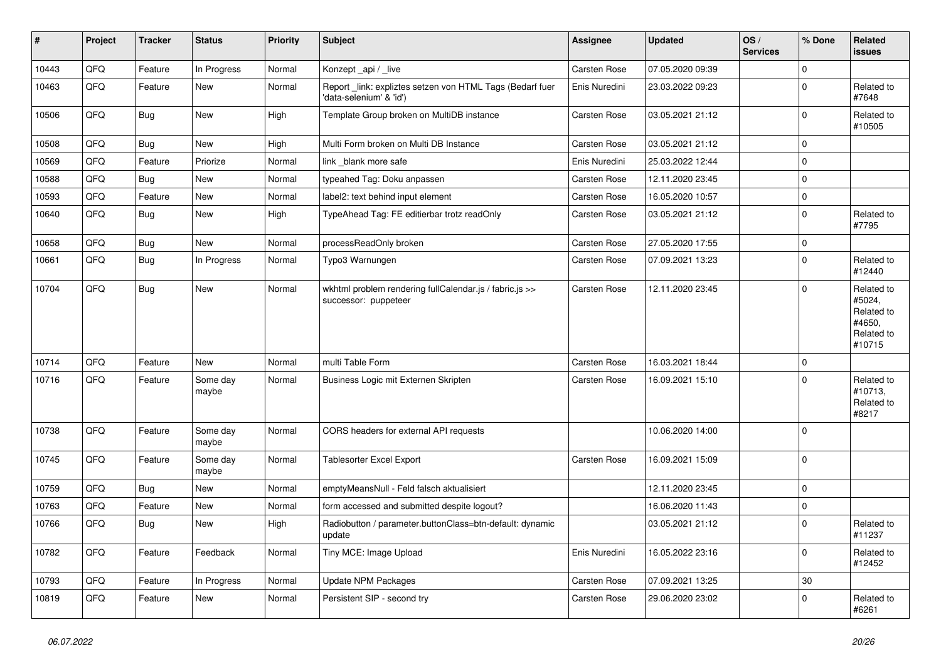| #     | Project | <b>Tracker</b> | <b>Status</b>     | <b>Priority</b> | <b>Subject</b>                                                                      | <b>Assignee</b>     | <b>Updated</b>   | OS/<br><b>Services</b> | % Done      | Related<br><b>issues</b>                                             |
|-------|---------|----------------|-------------------|-----------------|-------------------------------------------------------------------------------------|---------------------|------------------|------------------------|-------------|----------------------------------------------------------------------|
| 10443 | QFQ     | Feature        | In Progress       | Normal          | Konzept_api / _live                                                                 | Carsten Rose        | 07.05.2020 09:39 |                        | $\mathbf 0$ |                                                                      |
| 10463 | QFQ     | Feature        | <b>New</b>        | Normal          | Report_link: expliztes setzen von HTML Tags (Bedarf fuer<br>'data-selenium' & 'id') | Enis Nuredini       | 23.03.2022 09:23 |                        | 0           | Related to<br>#7648                                                  |
| 10506 | QFQ     | <b>Bug</b>     | New               | High            | Template Group broken on MultiDB instance                                           | Carsten Rose        | 03.05.2021 21:12 |                        | $\mathbf 0$ | Related to<br>#10505                                                 |
| 10508 | QFQ     | <b>Bug</b>     | New               | High            | Multi Form broken on Multi DB Instance                                              | <b>Carsten Rose</b> | 03.05.2021 21:12 |                        | $\pmb{0}$   |                                                                      |
| 10569 | QFQ     | Feature        | Priorize          | Normal          | link blank more safe                                                                | Enis Nuredini       | 25.03.2022 12:44 |                        | $\mathbf 0$ |                                                                      |
| 10588 | QFQ     | <b>Bug</b>     | New               | Normal          | typeahed Tag: Doku anpassen                                                         | <b>Carsten Rose</b> | 12.11.2020 23:45 |                        | $\mathbf 0$ |                                                                      |
| 10593 | QFQ     | Feature        | New               | Normal          | label2: text behind input element                                                   | Carsten Rose        | 16.05.2020 10:57 |                        | $\mathbf 0$ |                                                                      |
| 10640 | QFQ     | Bug            | New               | High            | TypeAhead Tag: FE editierbar trotz readOnly                                         | <b>Carsten Rose</b> | 03.05.2021 21:12 |                        | $\mathbf 0$ | Related to<br>#7795                                                  |
| 10658 | QFQ     | <b>Bug</b>     | <b>New</b>        | Normal          | processReadOnly broken                                                              | Carsten Rose        | 27.05.2020 17:55 |                        | $\mathsf 0$ |                                                                      |
| 10661 | QFQ     | Bug            | In Progress       | Normal          | Typo3 Warnungen                                                                     | Carsten Rose        | 07.09.2021 13:23 |                        | 0           | Related to<br>#12440                                                 |
| 10704 | QFQ     | <b>Bug</b>     | New               | Normal          | wkhtml problem rendering fullCalendar.js / fabric.js >><br>successor: puppeteer     | <b>Carsten Rose</b> | 12.11.2020 23:45 |                        | $\mathbf 0$ | Related to<br>#5024,<br>Related to<br>#4650,<br>Related to<br>#10715 |
| 10714 | QFQ     | Feature        | New               | Normal          | multi Table Form                                                                    | <b>Carsten Rose</b> | 16.03.2021 18:44 |                        | $\mathbf 0$ |                                                                      |
| 10716 | QFQ     | Feature        | Some day<br>maybe | Normal          | Business Logic mit Externen Skripten                                                | <b>Carsten Rose</b> | 16.09.2021 15:10 |                        | $\Omega$    | Related to<br>#10713,<br>Related to<br>#8217                         |
| 10738 | QFQ     | Feature        | Some day<br>maybe | Normal          | CORS headers for external API requests                                              |                     | 10.06.2020 14:00 |                        | $\mathbf 0$ |                                                                      |
| 10745 | QFQ     | Feature        | Some day<br>maybe | Normal          | <b>Tablesorter Excel Export</b>                                                     | <b>Carsten Rose</b> | 16.09.2021 15:09 |                        | $\mathbf 0$ |                                                                      |
| 10759 | QFQ     | <b>Bug</b>     | New               | Normal          | emptyMeansNull - Feld falsch aktualisiert                                           |                     | 12.11.2020 23:45 |                        | $\mathbf 0$ |                                                                      |
| 10763 | QFQ     | Feature        | New               | Normal          | form accessed and submitted despite logout?                                         |                     | 16.06.2020 11:43 |                        | $\pmb{0}$   |                                                                      |
| 10766 | QFQ     | <b>Bug</b>     | New               | High            | Radiobutton / parameter.buttonClass=btn-default: dynamic<br>update                  |                     | 03.05.2021 21:12 |                        | $\mathbf 0$ | Related to<br> #11237                                                |
| 10782 | QFQ     | Feature        | Feedback          | Normal          | Tiny MCE: Image Upload                                                              | Enis Nuredini       | 16.05.2022 23:16 |                        | $\mathbf 0$ | Related to<br>#12452                                                 |
| 10793 | QFO     | Feature        | In Progress       | Normal          | <b>Update NPM Packages</b>                                                          | Carsten Rose        | 07.09.2021 13:25 |                        | 30          |                                                                      |
| 10819 | QFQ     | Feature        | New               | Normal          | Persistent SIP - second try                                                         | Carsten Rose        | 29.06.2020 23:02 |                        | $\mathbf 0$ | Related to<br>#6261                                                  |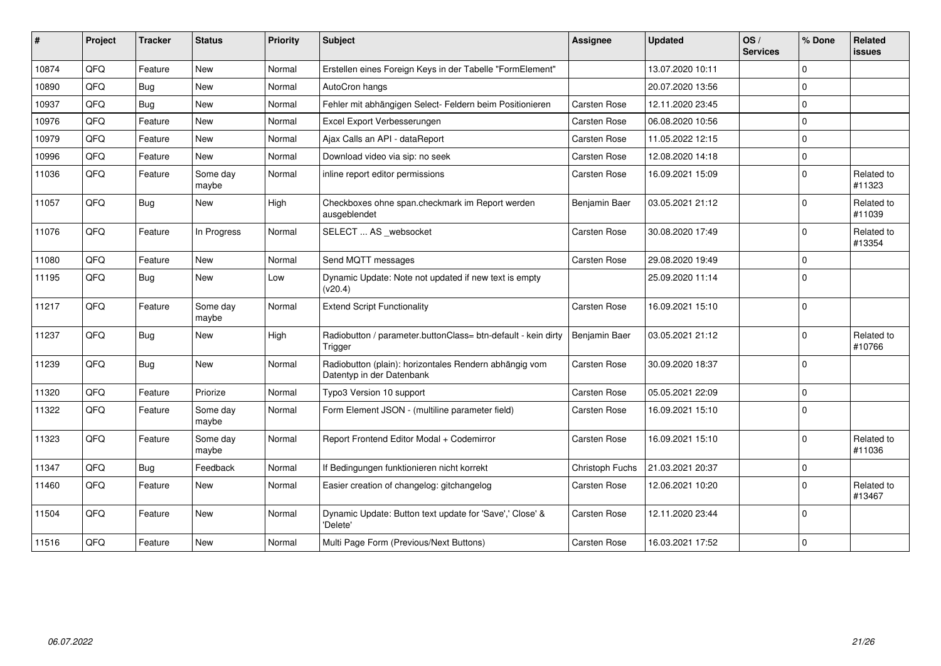| #     | Project | <b>Tracker</b> | <b>Status</b>     | <b>Priority</b> | <b>Subject</b>                                                                      | <b>Assignee</b>     | <b>Updated</b>   | OS/<br><b>Services</b> | % Done         | Related<br><b>issues</b> |
|-------|---------|----------------|-------------------|-----------------|-------------------------------------------------------------------------------------|---------------------|------------------|------------------------|----------------|--------------------------|
| 10874 | QFQ     | Feature        | <b>New</b>        | Normal          | Erstellen eines Foreign Keys in der Tabelle "FormElement"                           |                     | 13.07.2020 10:11 |                        | $\Omega$       |                          |
| 10890 | QFQ     | <b>Bug</b>     | <b>New</b>        | Normal          | AutoCron hangs                                                                      |                     | 20.07.2020 13:56 |                        | $\Omega$       |                          |
| 10937 | QFQ     | Bug            | <b>New</b>        | Normal          | Fehler mit abhängigen Select- Feldern beim Positionieren                            | Carsten Rose        | 12.11.2020 23:45 |                        | $\Omega$       |                          |
| 10976 | QFQ     | Feature        | New               | Normal          | Excel Export Verbesserungen                                                         | Carsten Rose        | 06.08.2020 10:56 |                        | $\Omega$       |                          |
| 10979 | QFQ     | Feature        | <b>New</b>        | Normal          | Ajax Calls an API - dataReport                                                      | <b>Carsten Rose</b> | 11.05.2022 12:15 |                        | $\Omega$       |                          |
| 10996 | QFQ     | Feature        | New               | Normal          | Download video via sip: no seek                                                     | Carsten Rose        | 12.08.2020 14:18 |                        | $\Omega$       |                          |
| 11036 | QFQ     | Feature        | Some day<br>maybe | Normal          | inline report editor permissions                                                    | Carsten Rose        | 16.09.2021 15:09 |                        | l 0            | Related to<br>#11323     |
| 11057 | QFQ     | Bug            | New               | High            | Checkboxes ohne span.checkmark im Report werden<br>ausgeblendet                     | Benjamin Baer       | 03.05.2021 21:12 |                        | l 0            | Related to<br>#11039     |
| 11076 | QFQ     | Feature        | In Progress       | Normal          | SELECT  AS _websocket                                                               | <b>Carsten Rose</b> | 30.08.2020 17:49 |                        | $\Omega$       | Related to<br>#13354     |
| 11080 | QFQ     | Feature        | <b>New</b>        | Normal          | Send MQTT messages                                                                  | Carsten Rose        | 29.08.2020 19:49 |                        | $\Omega$       |                          |
| 11195 | QFQ     | <b>Bug</b>     | New               | Low             | Dynamic Update: Note not updated if new text is empty<br>(v20.4)                    |                     | 25.09.2020 11:14 |                        | l 0            |                          |
| 11217 | QFQ     | Feature        | Some day<br>maybe | Normal          | <b>Extend Script Functionality</b>                                                  | Carsten Rose        | 16.09.2021 15:10 |                        | 0              |                          |
| 11237 | QFQ     | Bug            | New               | High            | Radiobutton / parameter.buttonClass= btn-default - kein dirty<br>Trigger            | Benjamin Baer       | 03.05.2021 21:12 |                        | l 0            | Related to<br>#10766     |
| 11239 | QFQ     | <b>Bug</b>     | New               | Normal          | Radiobutton (plain): horizontales Rendern abhängig vom<br>Datentyp in der Datenbank | Carsten Rose        | 30.09.2020 18:37 |                        | 0              |                          |
| 11320 | QFQ     | Feature        | Priorize          | Normal          | Typo3 Version 10 support                                                            | Carsten Rose        | 05.05.2021 22:09 |                        | $\Omega$       |                          |
| 11322 | QFQ     | Feature        | Some day<br>maybe | Normal          | Form Element JSON - (multiline parameter field)                                     | Carsten Rose        | 16.09.2021 15:10 |                        | $\Omega$       |                          |
| 11323 | QFQ     | Feature        | Some day<br>maybe | Normal          | Report Frontend Editor Modal + Codemirror                                           | Carsten Rose        | 16.09.2021 15:10 |                        | $\overline{0}$ | Related to<br>#11036     |
| 11347 | QFQ     | Bug            | Feedback          | Normal          | If Bedingungen funktionieren nicht korrekt                                          | Christoph Fuchs     | 21.03.2021 20:37 |                        | 0              |                          |
| 11460 | QFQ     | Feature        | New               | Normal          | Easier creation of changelog: gitchangelog                                          | Carsten Rose        | 12.06.2021 10:20 |                        | $\Omega$       | Related to<br>#13467     |
| 11504 | QFQ     | Feature        | New               | Normal          | Dynamic Update: Button text update for 'Save',' Close' &<br>'Delete'                | Carsten Rose        | 12.11.2020 23:44 |                        | $\mathbf 0$    |                          |
| 11516 | QFQ     | Feature        | New               | Normal          | Multi Page Form (Previous/Next Buttons)                                             | Carsten Rose        | 16.03.2021 17:52 |                        | $\Omega$       |                          |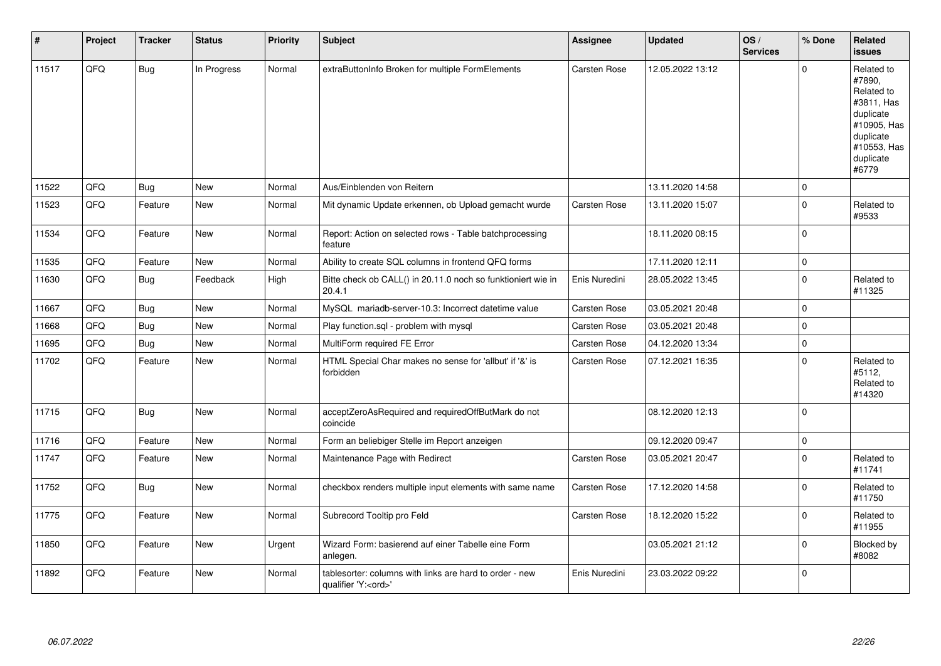| $\vert$ # | Project | <b>Tracker</b> | <b>Status</b> | <b>Priority</b> | Subject                                                                               | Assignee            | <b>Updated</b>   | OS/<br><b>Services</b> | % Done         | Related<br>issues                                                                                                              |
|-----------|---------|----------------|---------------|-----------------|---------------------------------------------------------------------------------------|---------------------|------------------|------------------------|----------------|--------------------------------------------------------------------------------------------------------------------------------|
| 11517     | QFQ     | <b>Bug</b>     | In Progress   | Normal          | extraButtonInfo Broken for multiple FormElements                                      | Carsten Rose        | 12.05.2022 13:12 |                        | $\Omega$       | Related to<br>#7890,<br>Related to<br>#3811, Has<br>duplicate<br>#10905, Has<br>duplicate<br>#10553, Has<br>duplicate<br>#6779 |
| 11522     | QFQ     | <b>Bug</b>     | <b>New</b>    | Normal          | Aus/Einblenden von Reitern                                                            |                     | 13.11.2020 14:58 |                        | $\overline{0}$ |                                                                                                                                |
| 11523     | QFQ     | Feature        | <b>New</b>    | Normal          | Mit dynamic Update erkennen, ob Upload gemacht wurde                                  | Carsten Rose        | 13.11.2020 15:07 |                        | $\overline{0}$ | Related to<br>#9533                                                                                                            |
| 11534     | QFQ     | Feature        | New           | Normal          | Report: Action on selected rows - Table batchprocessing<br>feature                    |                     | 18.11.2020 08:15 |                        | $\overline{0}$ |                                                                                                                                |
| 11535     | QFQ     | Feature        | <b>New</b>    | Normal          | Ability to create SQL columns in frontend QFQ forms                                   |                     | 17.11.2020 12:11 |                        | $\overline{0}$ |                                                                                                                                |
| 11630     | QFQ     | <b>Bug</b>     | Feedback      | High            | Bitte check ob CALL() in 20.11.0 noch so funktioniert wie in<br>20.4.1                | Enis Nuredini       | 28.05.2022 13:45 |                        | $\overline{0}$ | Related to<br>#11325                                                                                                           |
| 11667     | QFQ     | <b>Bug</b>     | <b>New</b>    | Normal          | MySQL mariadb-server-10.3: Incorrect datetime value                                   | <b>Carsten Rose</b> | 03.05.2021 20:48 |                        | $\overline{0}$ |                                                                                                                                |
| 11668     | QFQ     | Bug            | New           | Normal          | Play function.sql - problem with mysql                                                | Carsten Rose        | 03.05.2021 20:48 |                        | $\overline{0}$ |                                                                                                                                |
| 11695     | QFQ     | Bug            | <b>New</b>    | Normal          | MultiForm required FE Error                                                           | <b>Carsten Rose</b> | 04.12.2020 13:34 |                        | $\mathbf 0$    |                                                                                                                                |
| 11702     | QFQ     | Feature        | <b>New</b>    | Normal          | HTML Special Char makes no sense for 'allbut' if '&' is<br>forbidden                  | <b>Carsten Rose</b> | 07.12.2021 16:35 |                        | 0              | Related to<br>#5112,<br>Related to<br>#14320                                                                                   |
| 11715     | QFQ     | <b>Bug</b>     | <b>New</b>    | Normal          | acceptZeroAsRequired and requiredOffButMark do not<br>coincide                        |                     | 08.12.2020 12:13 |                        | $\overline{0}$ |                                                                                                                                |
| 11716     | QFQ     | Feature        | <b>New</b>    | Normal          | Form an beliebiger Stelle im Report anzeigen                                          |                     | 09.12.2020 09:47 |                        | $\overline{0}$ |                                                                                                                                |
| 11747     | QFQ     | Feature        | New           | Normal          | Maintenance Page with Redirect                                                        | Carsten Rose        | 03.05.2021 20:47 |                        | 0              | Related to<br>#11741                                                                                                           |
| 11752     | QFQ     | Bug            | <b>New</b>    | Normal          | checkbox renders multiple input elements with same name                               | Carsten Rose        | 17.12.2020 14:58 |                        | $\Omega$       | Related to<br>#11750                                                                                                           |
| 11775     | QFQ     | Feature        | <b>New</b>    | Normal          | Subrecord Tooltip pro Feld                                                            | <b>Carsten Rose</b> | 18.12.2020 15:22 |                        | 0              | Related to<br>#11955                                                                                                           |
| 11850     | QFQ     | Feature        | <b>New</b>    | Urgent          | Wizard Form: basierend auf einer Tabelle eine Form<br>anlegen.                        |                     | 03.05.2021 21:12 |                        | $\Omega$       | Blocked by<br>#8082                                                                                                            |
| 11892     | QFQ     | Feature        | <b>New</b>    | Normal          | tablesorter: columns with links are hard to order - new<br>qualifier 'Y: <ord>'</ord> | Enis Nuredini       | 23.03.2022 09:22 |                        | 0              |                                                                                                                                |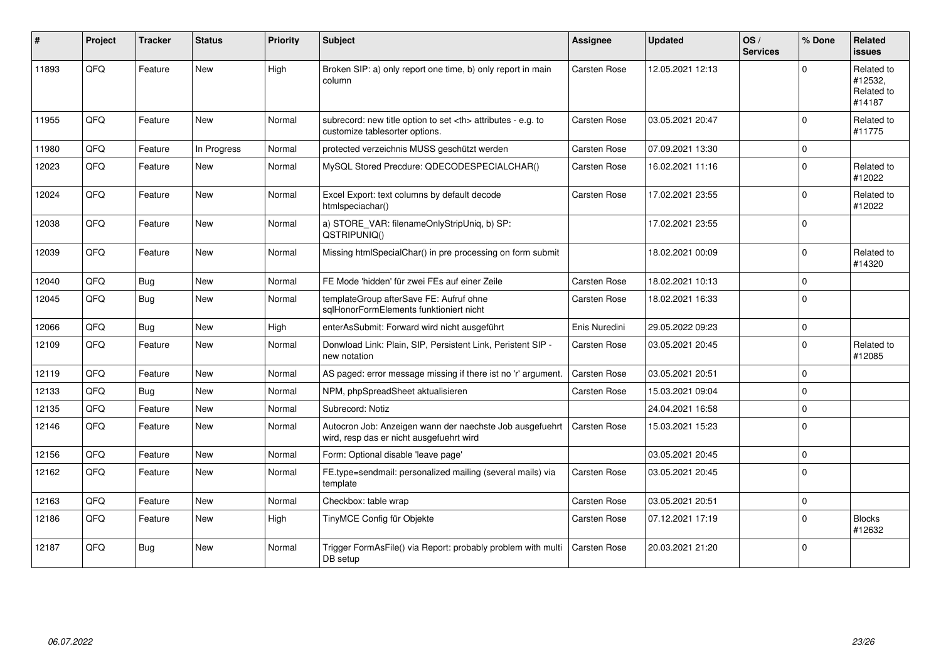| ∦     | Project | <b>Tracker</b> | <b>Status</b> | <b>Priority</b> | <b>Subject</b>                                                                                       | <b>Assignee</b>                                        | <b>Updated</b>      | OS/<br><b>Services</b> | % Done         | Related<br><b>issues</b>                      |                      |
|-------|---------|----------------|---------------|-----------------|------------------------------------------------------------------------------------------------------|--------------------------------------------------------|---------------------|------------------------|----------------|-----------------------------------------------|----------------------|
| 11893 | QFQ     | Feature        | <b>New</b>    | High            | Broken SIP: a) only report one time, b) only report in main<br>column                                | <b>Carsten Rose</b>                                    | 12.05.2021 12:13    |                        | $\Omega$       | Related to<br>#12532,<br>Related to<br>#14187 |                      |
| 11955 | QFQ     | Feature        | New           | Normal          | subrecord: new title option to set <th> attributes - e.g. to<br/>customize tablesorter options.</th> | attributes - e.g. to<br>customize tablesorter options. | <b>Carsten Rose</b> | 03.05.2021 20:47       |                | $\mathbf 0$                                   | Related to<br>#11775 |
| 11980 | QFQ     | Feature        | In Progress   | Normal          | protected verzeichnis MUSS geschützt werden                                                          | Carsten Rose                                           | 07.09.2021 13:30    |                        | $\mathbf 0$    |                                               |                      |
| 12023 | QFQ     | Feature        | New           | Normal          | MySQL Stored Precdure: QDECODESPECIALCHAR()                                                          | <b>Carsten Rose</b>                                    | 16.02.2021 11:16    |                        | $\Omega$       | Related to<br>#12022                          |                      |
| 12024 | QFQ     | Feature        | <b>New</b>    | Normal          | Excel Export: text columns by default decode<br>htmlspeciachar()                                     | <b>Carsten Rose</b>                                    | 17.02.2021 23:55    |                        | $\Omega$       | Related to<br>#12022                          |                      |
| 12038 | QFQ     | Feature        | New           | Normal          | a) STORE_VAR: filenameOnlyStripUniq, b) SP:<br>QSTRIPUNIQ()                                          |                                                        | 17.02.2021 23:55    |                        | $\Omega$       |                                               |                      |
| 12039 | QFQ     | Feature        | New           | Normal          | Missing htmlSpecialChar() in pre processing on form submit                                           |                                                        | 18.02.2021 00:09    |                        | $\Omega$       | Related to<br>#14320                          |                      |
| 12040 | QFQ     | <b>Bug</b>     | <b>New</b>    | Normal          | FE Mode 'hidden' für zwei FEs auf einer Zeile                                                        | <b>Carsten Rose</b>                                    | 18.02.2021 10:13    |                        | $\Omega$       |                                               |                      |
| 12045 | QFQ     | <b>Bug</b>     | <b>New</b>    | Normal          | templateGroup afterSave FE: Aufruf ohne<br>sqlHonorFormElements funktioniert nicht                   | <b>Carsten Rose</b>                                    | 18.02.2021 16:33    |                        | $\overline{0}$ |                                               |                      |
| 12066 | QFQ     | <b>Bug</b>     | <b>New</b>    | High            | enterAsSubmit: Forward wird nicht ausgeführt                                                         | Enis Nuredini                                          | 29.05.2022 09:23    |                        | $\Omega$       |                                               |                      |
| 12109 | QFQ     | Feature        | <b>New</b>    | Normal          | Donwload Link: Plain, SIP, Persistent Link, Peristent SIP -<br>new notation                          | <b>Carsten Rose</b>                                    | 03.05.2021 20:45    |                        | $\overline{0}$ | Related to<br>#12085                          |                      |
| 12119 | QFQ     | Feature        | <b>New</b>    | Normal          | AS paged: error message missing if there ist no 'r' argument.                                        | <b>Carsten Rose</b>                                    | 03.05.2021 20:51    |                        | $\overline{0}$ |                                               |                      |
| 12133 | QFQ     | Bug            | <b>New</b>    | Normal          | NPM, phpSpreadSheet aktualisieren                                                                    | <b>Carsten Rose</b>                                    | 15.03.2021 09:04    |                        | $\Omega$       |                                               |                      |
| 12135 | QFQ     | Feature        | New           | Normal          | Subrecord: Notiz                                                                                     |                                                        | 24.04.2021 16:58    |                        | $\mathbf 0$    |                                               |                      |
| 12146 | QFQ     | Feature        | <b>New</b>    | Normal          | Autocron Job: Anzeigen wann der naechste Job ausgefuehrt<br>wird, resp das er nicht ausgefuehrt wird | <b>Carsten Rose</b>                                    | 15.03.2021 15:23    |                        | $\Omega$       |                                               |                      |
| 12156 | QFQ     | Feature        | <b>New</b>    | Normal          | Form: Optional disable 'leave page'                                                                  |                                                        | 03.05.2021 20:45    |                        | $\Omega$       |                                               |                      |
| 12162 | QFQ     | Feature        | New           | Normal          | FE.type=sendmail: personalized mailing (several mails) via<br>template                               | <b>Carsten Rose</b>                                    | 03.05.2021 20:45    |                        | $\Omega$       |                                               |                      |
| 12163 | QFQ     | Feature        | <b>New</b>    | Normal          | Checkbox: table wrap                                                                                 | <b>Carsten Rose</b>                                    | 03.05.2021 20:51    |                        | $\mathbf 0$    |                                               |                      |
| 12186 | QFQ     | Feature        | New           | High            | TinyMCE Config für Objekte                                                                           | <b>Carsten Rose</b>                                    | 07.12.2021 17:19    |                        | $\Omega$       | <b>Blocks</b><br>#12632                       |                      |
| 12187 | QFQ     | Bug            | <b>New</b>    | Normal          | Trigger FormAsFile() via Report: probably problem with multi<br>DB setup                             | <b>Carsten Rose</b>                                    | 20.03.2021 21:20    |                        | $\Omega$       |                                               |                      |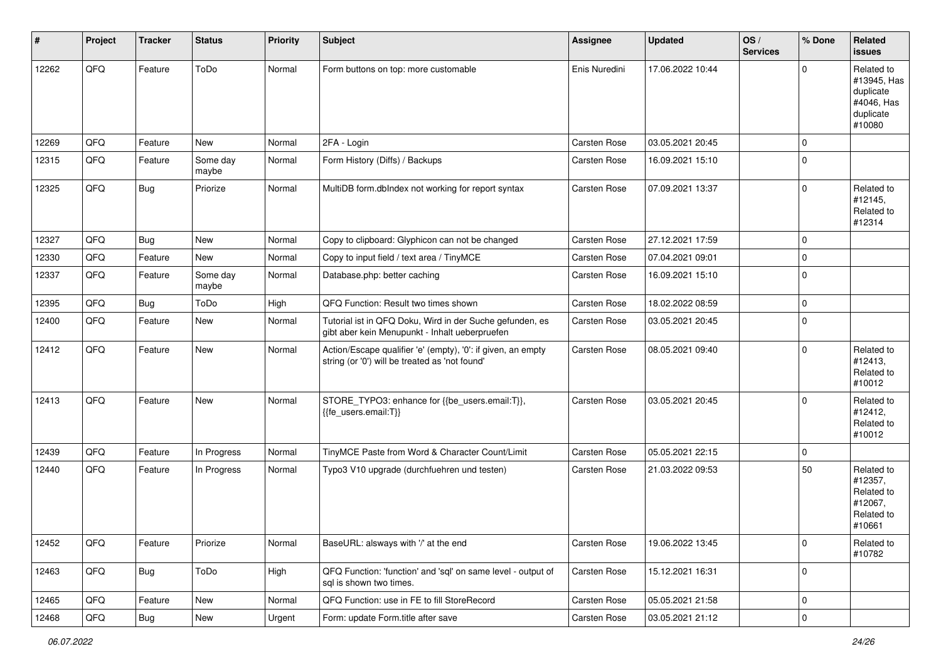| #     | Project | <b>Tracker</b> | <b>Status</b>     | <b>Priority</b> | <b>Subject</b>                                                                                                 | <b>Assignee</b>     | <b>Updated</b>   | OS/<br><b>Services</b> | % Done         | Related<br><b>issues</b>                                                    |
|-------|---------|----------------|-------------------|-----------------|----------------------------------------------------------------------------------------------------------------|---------------------|------------------|------------------------|----------------|-----------------------------------------------------------------------------|
| 12262 | QFQ     | Feature        | ToDo              | Normal          | Form buttons on top: more customable                                                                           | Enis Nuredini       | 17.06.2022 10:44 |                        | $\Omega$       | Related to<br>#13945, Has<br>duplicate<br>#4046, Has<br>duplicate<br>#10080 |
| 12269 | QFQ     | Feature        | New               | Normal          | 2FA - Login                                                                                                    | Carsten Rose        | 03.05.2021 20:45 |                        | 0              |                                                                             |
| 12315 | QFQ     | Feature        | Some day<br>maybe | Normal          | Form History (Diffs) / Backups                                                                                 | <b>Carsten Rose</b> | 16.09.2021 15:10 |                        | $\mathbf 0$    |                                                                             |
| 12325 | QFQ     | Bug            | Priorize          | Normal          | MultiDB form.dblndex not working for report syntax                                                             | <b>Carsten Rose</b> | 07.09.2021 13:37 |                        | $\Omega$       | Related to<br>#12145,<br>Related to<br>#12314                               |
| 12327 | QFQ     | Bug            | New               | Normal          | Copy to clipboard: Glyphicon can not be changed                                                                | Carsten Rose        | 27.12.2021 17:59 |                        | $\Omega$       |                                                                             |
| 12330 | QFQ     | Feature        | New               | Normal          | Copy to input field / text area / TinyMCE                                                                      | Carsten Rose        | 07.04.2021 09:01 |                        | $\mathbf 0$    |                                                                             |
| 12337 | QFQ     | Feature        | Some day<br>maybe | Normal          | Database.php: better caching                                                                                   | <b>Carsten Rose</b> | 16.09.2021 15:10 |                        | 0              |                                                                             |
| 12395 | QFQ     | Bug            | ToDo              | High            | QFQ Function: Result two times shown                                                                           | Carsten Rose        | 18.02.2022 08:59 |                        | $\overline{0}$ |                                                                             |
| 12400 | QFQ     | Feature        | New               | Normal          | Tutorial ist in QFQ Doku, Wird in der Suche gefunden, es<br>gibt aber kein Menupunkt - Inhalt ueberpruefen     | <b>Carsten Rose</b> | 03.05.2021 20:45 |                        | $\mathbf 0$    |                                                                             |
| 12412 | QFQ     | Feature        | New               | Normal          | Action/Escape qualifier 'e' (empty), '0': if given, an empty<br>string (or '0') will be treated as 'not found' | <b>Carsten Rose</b> | 08.05.2021 09:40 |                        | $\mathbf 0$    | Related to<br>#12413,<br>Related to<br>#10012                               |
| 12413 | QFQ     | Feature        | New               | Normal          | STORE_TYPO3: enhance for {{be_users.email:T}},<br>{{fe_users.email:T}}                                         | Carsten Rose        | 03.05.2021 20:45 |                        | $\Omega$       | Related to<br>#12412,<br>Related to<br>#10012                               |
| 12439 | QFQ     | Feature        | In Progress       | Normal          | TinyMCE Paste from Word & Character Count/Limit                                                                | Carsten Rose        | 05.05.2021 22:15 |                        | $\overline{0}$ |                                                                             |
| 12440 | QFQ     | Feature        | In Progress       | Normal          | Typo3 V10 upgrade (durchfuehren und testen)                                                                    | Carsten Rose        | 21.03.2022 09:53 |                        | 50             | Related to<br>#12357,<br>Related to<br>#12067,<br>Related to<br>#10661      |
| 12452 | QFQ     | Feature        | Priorize          | Normal          | BaseURL: alsways with '/' at the end                                                                           | Carsten Rose        | 19.06.2022 13:45 |                        | $\overline{0}$ | Related to<br>#10782                                                        |
| 12463 | QFQ     | <b>Bug</b>     | ToDo              | High            | QFQ Function: 'function' and 'sql' on same level - output of<br>sql is shown two times.                        | Carsten Rose        | 15.12.2021 16:31 |                        | $\overline{0}$ |                                                                             |
| 12465 | QFQ     | Feature        | New               | Normal          | QFQ Function: use in FE to fill StoreRecord                                                                    | Carsten Rose        | 05.05.2021 21:58 |                        | $\overline{0}$ |                                                                             |
| 12468 | QFG     | <b>Bug</b>     | New               | Urgent          | Form: update Form.title after save                                                                             | Carsten Rose        | 03.05.2021 21:12 |                        | $\overline{0}$ |                                                                             |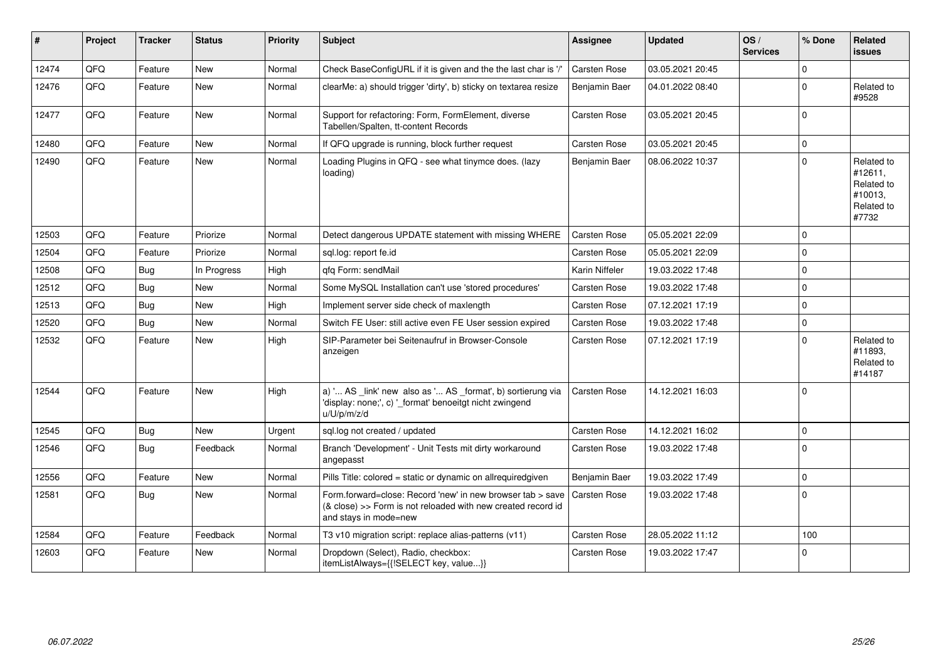| #     | Project | <b>Tracker</b> | <b>Status</b> | <b>Priority</b> | <b>Subject</b>                                                                                                                                      | Assignee            | <b>Updated</b>   | OS/<br><b>Services</b> | % Done         | Related<br><b>issues</b>                                              |
|-------|---------|----------------|---------------|-----------------|-----------------------------------------------------------------------------------------------------------------------------------------------------|---------------------|------------------|------------------------|----------------|-----------------------------------------------------------------------|
| 12474 | QFQ     | Feature        | <b>New</b>    | Normal          | Check BaseConfigURL if it is given and the the last char is '/'                                                                                     | Carsten Rose        | 03.05.2021 20:45 |                        | $\Omega$       |                                                                       |
| 12476 | QFQ     | Feature        | <b>New</b>    | Normal          | clearMe: a) should trigger 'dirty', b) sticky on textarea resize                                                                                    | Benjamin Baer       | 04.01.2022 08:40 |                        | $\Omega$       | Related to<br>#9528                                                   |
| 12477 | QFQ     | Feature        | New           | Normal          | Support for refactoring: Form, FormElement, diverse<br>Tabellen/Spalten, tt-content Records                                                         | Carsten Rose        | 03.05.2021 20:45 |                        | $\overline{0}$ |                                                                       |
| 12480 | OFQ     | Feature        | <b>New</b>    | Normal          | If QFQ upgrade is running, block further request                                                                                                    | <b>Carsten Rose</b> | 03.05.2021 20:45 |                        | $\Omega$       |                                                                       |
| 12490 | QFQ     | Feature        | <b>New</b>    | Normal          | Loading Plugins in QFQ - see what tinymce does. (lazy<br>loading)                                                                                   | Benjamin Baer       | 08.06.2022 10:37 |                        | $\overline{0}$ | Related to<br>#12611,<br>Related to<br>#10013,<br>Related to<br>#7732 |
| 12503 | QFQ     | Feature        | Priorize      | Normal          | Detect dangerous UPDATE statement with missing WHERE                                                                                                | <b>Carsten Rose</b> | 05.05.2021 22:09 |                        | $\Omega$       |                                                                       |
| 12504 | QFQ     | Feature        | Priorize      | Normal          | sql.log: report fe.id                                                                                                                               | <b>Carsten Rose</b> | 05.05.2021 22:09 |                        | $\Omega$       |                                                                       |
| 12508 | QFQ     | <b>Bug</b>     | In Progress   | High            | gfg Form: sendMail                                                                                                                                  | Karin Niffeler      | 19.03.2022 17:48 |                        | $\Omega$       |                                                                       |
| 12512 | QFQ     | Bug            | <b>New</b>    | Normal          | Some MySQL Installation can't use 'stored procedures'                                                                                               | <b>Carsten Rose</b> | 19.03.2022 17:48 |                        | $\Omega$       |                                                                       |
| 12513 | QFQ     | Bug            | <b>New</b>    | High            | Implement server side check of maxlength                                                                                                            | <b>Carsten Rose</b> | 07.12.2021 17:19 |                        | 0 I            |                                                                       |
| 12520 | QFQ     | <b>Bug</b>     | <b>New</b>    | Normal          | Switch FE User: still active even FE User session expired                                                                                           | Carsten Rose        | 19.03.2022 17:48 |                        | $\Omega$       |                                                                       |
| 12532 | QFQ     | Feature        | <b>New</b>    | High            | SIP-Parameter bei Seitenaufruf in Browser-Console<br>anzeigen                                                                                       | Carsten Rose        | 07.12.2021 17:19 |                        | $\Omega$       | Related to<br>#11893.<br>Related to<br>#14187                         |
| 12544 | QFQ     | Feature        | <b>New</b>    | High            | a) ' AS _link' new also as ' AS _format', b) sortierung via<br>'display: none;', c) '_format' benoeitgt nicht zwingend<br>u/U/p/m/z/d               | <b>Carsten Rose</b> | 14.12.2021 16:03 |                        | 0              |                                                                       |
| 12545 | QFQ     | Bug            | <b>New</b>    | Urgent          | sql.log not created / updated                                                                                                                       | <b>Carsten Rose</b> | 14.12.2021 16:02 |                        | $\Omega$       |                                                                       |
| 12546 | QFQ     | <b>Bug</b>     | Feedback      | Normal          | Branch 'Development' - Unit Tests mit dirty workaround<br>angepasst                                                                                 | Carsten Rose        | 19.03.2022 17:48 |                        | $\overline{0}$ |                                                                       |
| 12556 | QFQ     | Feature        | <b>New</b>    | Normal          | Pills Title: colored = static or dynamic on allrequiredgiven                                                                                        | Benjamin Baer       | 19.03.2022 17:49 |                        | $\Omega$       |                                                                       |
| 12581 | QFQ     | Bug            | <b>New</b>    | Normal          | Form.forward=close: Record 'new' in new browser tab > save<br>(& close) >> Form is not reloaded with new created record id<br>and stays in mode=new | Carsten Rose        | 19.03.2022 17:48 |                        | 0              |                                                                       |
| 12584 | QFQ     | Feature        | Feedback      | Normal          | T3 v10 migration script: replace alias-patterns (v11)                                                                                               | Carsten Rose        | 28.05.2022 11:12 |                        | 100            |                                                                       |
| 12603 | QFQ     | Feature        | <b>New</b>    | Normal          | Dropdown (Select), Radio, checkbox:<br>itemListAlways={{!SELECT key, value}}                                                                        | <b>Carsten Rose</b> | 19.03.2022 17:47 |                        | $\Omega$       |                                                                       |